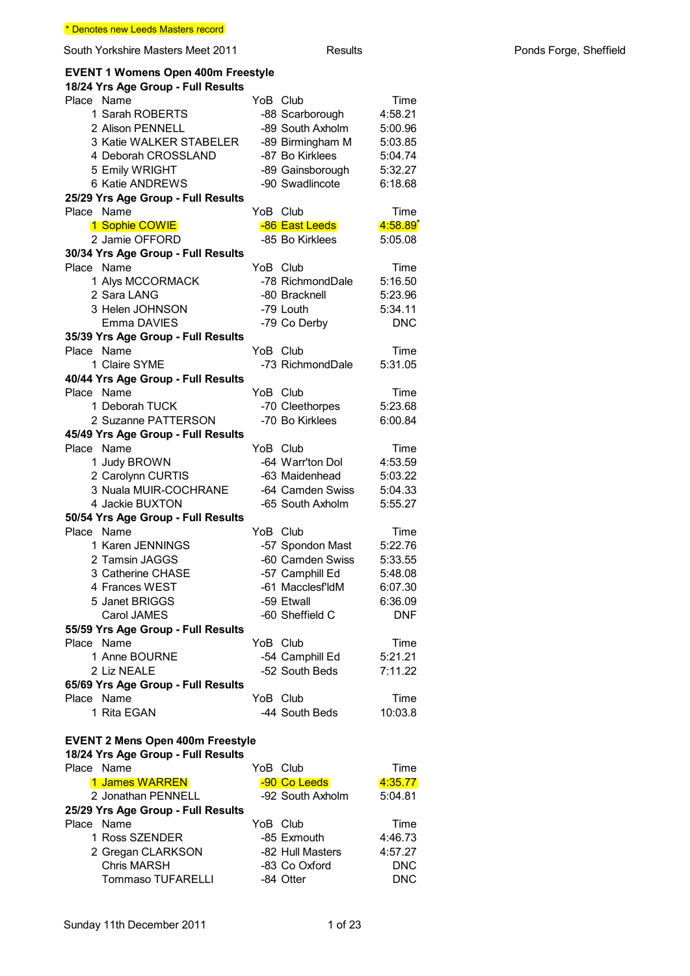### **EVENT 1 Womens Open 400m Freestyle**

| 18/24 Yrs Age Group - Full Results               |                  |                        |
|--------------------------------------------------|------------------|------------------------|
| Place Name                                       | YoB Club         | Time                   |
| 1 Sarah ROBERTS                                  | -88 Scarborough  | 4:58.21                |
| 2 Alison PENNELL                                 | -89 South Axholm | 5:00.96                |
| 3 Katie WALKER STABELER                          | -89 Birmingham M | 5:03.85                |
| 4 Deborah CROSSLAND                              | -87 Bo Kirklees  | 5:04.74                |
| 5 Emily WRIGHT                                   | -89 Gainsborough | 5:32.27                |
| 6 Katie ANDREWS                                  | -90 Swadlincote  | 6:18.68                |
| 25/29 Yrs Age Group - Full Results               |                  |                        |
| Place Name                                       | YoB Club         | Time                   |
| 1 Sophie COWIE                                   | -86 East Leeds   | $4:58.89$ <sup>*</sup> |
| 2 Jamie OFFORD                                   | -85 Bo Kirklees  | 5:05.08                |
| 30/34 Yrs Age Group - Full Results               |                  |                        |
| Place Name                                       | YoB Club         | Time                   |
| 1 Alys MCCORMACK                                 | -78 RichmondDale | 5:16.50                |
| 2 Sara LANG                                      | -80 Bracknell    | 5:23.96                |
| 3 Helen JOHNSON                                  | -79 Louth        | 5:34.11                |
| Emma DAVIES                                      |                  | <b>DNC</b>             |
|                                                  | -79 Co Derby     |                        |
| 35/39 Yrs Age Group - Full Results<br>Place Name | YoB Club         | Time                   |
| 1 Claire SYME                                    | -73 RichmondDale | 5:31.05                |
|                                                  |                  |                        |
| 40/44 Yrs Age Group - Full Results<br>Place Name | YoB Club         |                        |
|                                                  |                  | Time                   |
| 1 Deborah TUCK                                   | -70 Cleethorpes  | 5:23.68                |
| 2 Suzanne PATTERSON                              | -70 Bo Kirklees  | 6:00.84                |
| 45/49 Yrs Age Group - Full Results               |                  |                        |
| Place Name                                       | YoB Club         | Time                   |
| 1 Judy BROWN                                     | -64 Warr'ton Dol | 4:53.59                |
| 2 Carolynn CURTIS                                | -63 Maidenhead   | 5:03.22                |
| 3 Nuala MUIR-COCHRANE                            | -64 Camden Swiss | 5:04.33                |
| 4 Jackie BUXTON                                  | -65 South Axholm | 5:55.27                |
| 50/54 Yrs Age Group - Full Results               |                  |                        |
| Place Name                                       | YoB Club         | Time                   |
| 1 Karen JENNINGS                                 | -57 Spondon Mast | 5:22.76                |
| 2 Tamsin JAGGS                                   | -60 Camden Swiss | 5:33.55                |
| 3 Catherine CHASE                                | -57 Camphill Ed  | 5:48.08                |
| 4 Frances WEST                                   | -61 Macclesf'ldM | 6:07.30                |
| 5 Janet BRIGGS                                   | -59 Etwall       | 6:36.09                |
| Carol JAMES                                      | -60 Sheffield C  | <b>DNF</b>             |
| 55/59 Yrs Age Group - Full Results               |                  |                        |
| Place Name                                       | YoB Club         | Time                   |
| 1 Anne BOURNE                                    | -54 Camphill Ed  | 5:21.21                |
| 2 Liz NEALE                                      | -52 South Beds   | 7:11.22                |
| 65/69 Yrs Age Group - Full Results               |                  |                        |
| Place Name                                       | YoB Club         | Time                   |
| 1 Rita EGAN                                      | -44 South Beds   | 10:03.8                |
|                                                  |                  |                        |
| <b>EVENT 2 Mens Open 400m Freestyle</b>          |                  |                        |
| 18/24 Yrs Age Group - Full Results               |                  |                        |
| Place Name                                       | YoB Club         | Time                   |
| 1 James WARREN                                   | -90 Co Leeds     | 4:35.77                |
| 2 Jonathan PENNELL                               | -92 South Axholm | 5:04.81                |
| 25/29 Yrs Age Group - Full Results               |                  |                        |
| Place Name                                       | YoB Club         | Time                   |
| 1 Ross SZENDER                                   | -85 Exmouth      | 4:46.73                |
| 2 Gregan CLARKSON                                | -82 Hull Masters | 4:57.27                |
| <b>Chris MARSH</b>                               |                  |                        |
|                                                  | -83 Co Oxford    | <b>DNC</b>             |
| <b>Tommaso TUFARELLI</b>                         | -84 Otter        | <b>DNC</b>             |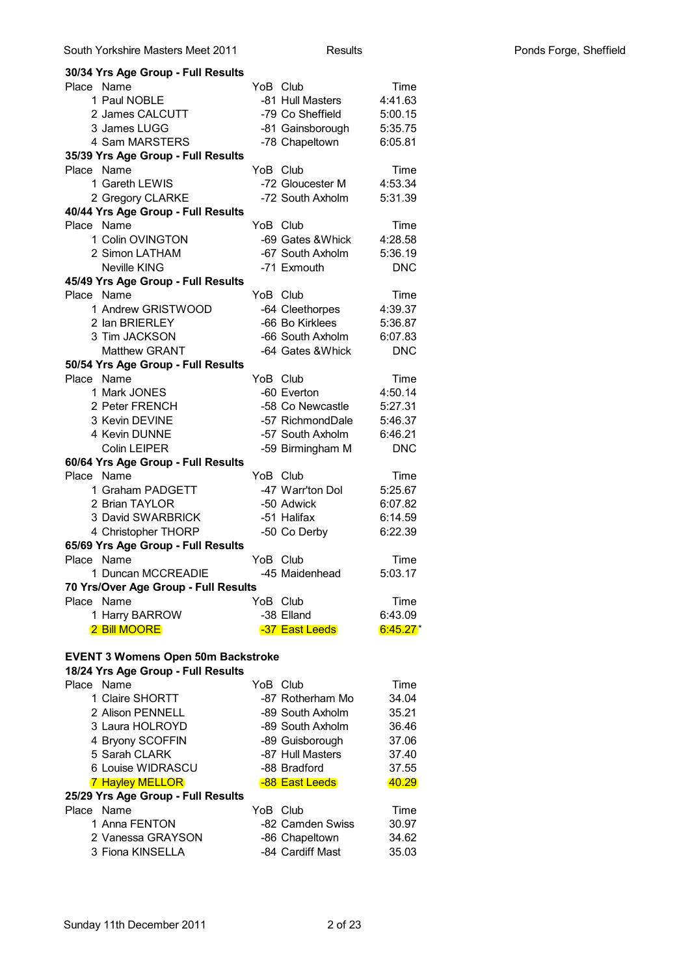| 30/34 Yrs Age Group - Full Results        |          |                   |            |
|-------------------------------------------|----------|-------------------|------------|
| Place Name                                |          | YoB Club          | Time       |
| 1 Paul NOBLE                              |          | -81 Hull Masters  | 4:41.63    |
| 2 James CALCUTT                           |          | -79 Co Sheffield  | 5:00.15    |
| 3 James LUGG                              |          | -81 Gainsborough  | 5:35.75    |
| 4 Sam MARSTERS                            |          | -78 Chapeltown    | 6:05.81    |
| 35/39 Yrs Age Group - Full Results        |          |                   |            |
| Place<br>Name                             |          | YoB Club          | Time       |
| 1 Gareth LEWIS                            |          | -72 Gloucester M  | 4:53.34    |
| 2 Gregory CLARKE                          |          | -72 South Axholm  | 5:31.39    |
| 40/44 Yrs Age Group - Full Results        |          |                   |            |
| Place Name                                | YoB Club |                   | Time       |
| 1 Colin OVINGTON                          |          | -69 Gates & Whick | 4:28.58    |
| 2 Simon LATHAM                            |          | -67 South Axholm  | 5:36.19    |
| <b>Neville KING</b>                       |          | -71 Exmouth       | <b>DNC</b> |
| 45/49 Yrs Age Group - Full Results        |          |                   |            |
| Place Name                                |          | YoB Club          | Time       |
| 1 Andrew GRISTWOOD                        |          | -64 Cleethorpes   | 4:39.37    |
| 2 Ian BRIERLEY                            |          | -66 Bo Kirklees   | 5:36.87    |
| 3 Tim JACKSON                             |          | -66 South Axholm  | 6:07.83    |
| <b>Matthew GRANT</b>                      |          | -64 Gates & Whick | <b>DNC</b> |
| 50/54 Yrs Age Group - Full Results        |          |                   |            |
| Place Name                                |          | YoB Club          | Time       |
| 1 Mark JONES                              |          | -60 Everton       | 4:50.14    |
|                                           |          |                   |            |
| 2 Peter FRENCH                            |          | -58 Co Newcastle  | 5:27.31    |
| 3 Kevin DEVINE                            |          | -57 RichmondDale  | 5:46.37    |
| 4 Kevin DUNNE                             |          | -57 South Axholm  | 6:46.21    |
| <b>Colin LEIPER</b>                       |          | -59 Birmingham M  | <b>DNC</b> |
| 60/64 Yrs Age Group - Full Results        |          |                   |            |
| Place<br>Name                             |          | YoB Club          | Time       |
| 1 Graham PADGETT                          |          | -47 Warr'ton Dol  | 5:25.67    |
| 2 Brian TAYLOR                            |          | -50 Adwick        | 6:07.82    |
| 3 David SWARBRICK                         |          | -51 Halifax       | 6:14.59    |
| 4 Christopher THORP                       |          | -50 Co Derby      | 6:22.39    |
| 65/69 Yrs Age Group - Full Results        |          |                   |            |
| Place Name                                |          | YoB Club          | Time       |
| 1 Duncan MCCREADIE                        |          | -45 Maidenhead    | 5:03.17    |
| 70 Yrs/Over Age Group - Full Results      |          |                   |            |
| Place Name                                |          | YoB Club          | Time       |
| 1 Harry BARROW                            |          | -38 Elland        | 6:43.09    |
| <b>2 Bill MOORE</b>                       |          | -37 East Leeds    | $6:45.27*$ |
|                                           |          |                   |            |
| <b>EVENT 3 Womens Open 50m Backstroke</b> |          |                   |            |
| 18/24 Yrs Age Group - Full Results        |          |                   |            |
| Place Name                                |          | YoB Club          | Time       |
| 1 Claire SHORTT                           |          | -87 Rotherham Mo  | 34.04      |
| 2 Alison PENNELL                          |          | -89 South Axholm  | 35.21      |
| 3 Laura HOLROYD                           |          | -89 South Axholm  | 36.46      |
| 4 Bryony SCOFFIN                          |          | -89 Guisborough   | 37.06      |
| 5 Sarah CLARK                             |          | -87 Hull Masters  | 37.40      |
| 6 Louise WIDRASCU                         |          | -88 Bradford      | 37.55      |
| <b>7 Hayley MELLOR</b>                    |          | -88 East Leeds    | 40.29      |
| 25/29 Yrs Age Group - Full Results        |          |                   |            |
| Place Name                                |          | YoB Club          | Time       |
| 1 Anna FENTON                             |          | -82 Camden Swiss  | 30.97      |
| 2 Vanessa GRAYSON                         |          | -86 Chapeltown    | 34.62      |
| 3 Fiona KINSELLA                          |          | -84 Cardiff Mast  | 35.03      |
|                                           |          |                   |            |
|                                           |          |                   |            |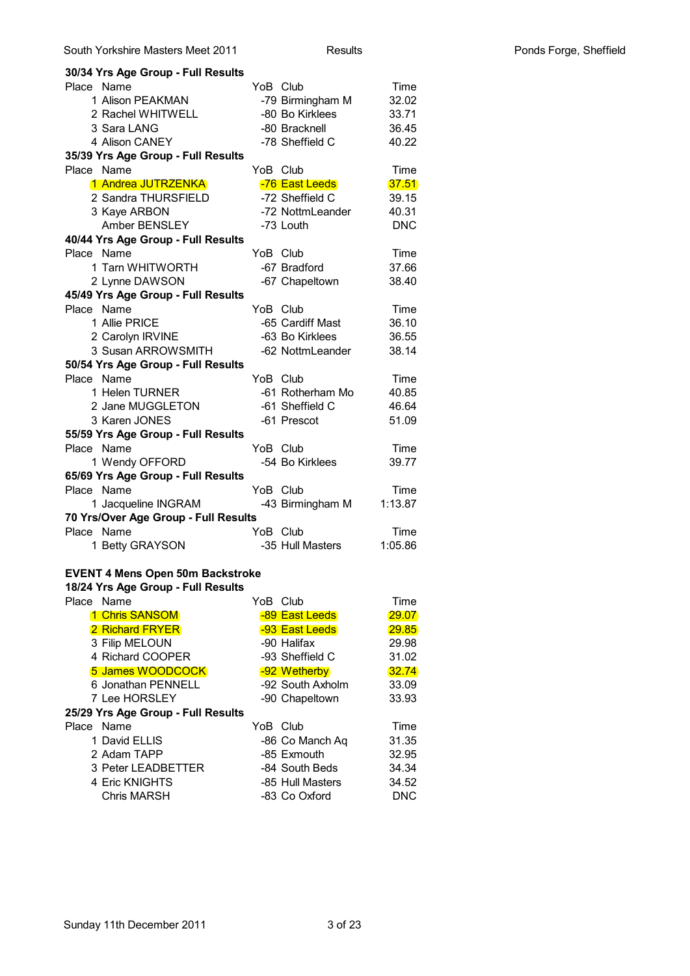| South Yorkshire Masters Meet 2011                |                  | <b>Results</b>   |            |
|--------------------------------------------------|------------------|------------------|------------|
| 30/34 Yrs Age Group - Full Results               |                  |                  |            |
| Place Name                                       | YoB Club         |                  | Time       |
| 1 Alison PEAKMAN                                 |                  | -79 Birmingham M | 32.02      |
| 2 Rachel WHITWELL                                | -80 Bo Kirklees  |                  | 33.71      |
| 3 Sara LANG                                      | -80 Bracknell    |                  | 36.45      |
| 4 Alison CANEY                                   | -78 Sheffield C  |                  | 40.22      |
| 35/39 Yrs Age Group - Full Results               |                  |                  |            |
| Place Name                                       | YoB Club         |                  | Time       |
| 1 Andrea JUTRZENKA                               | -76 East Leeds   |                  | 37.51      |
| 2 Sandra THURSFIELD                              | -72 Sheffield C  |                  | 39.15      |
| 3 Kaye ARBON                                     |                  | -72 NottmLeander | 40.31      |
| Amber BENSLEY                                    | -73 Louth        |                  | <b>DNC</b> |
| 40/44 Yrs Age Group - Full Results               |                  |                  |            |
| Place Name                                       | YoB Club         |                  | Time       |
| 1 Tarn WHITWORTH                                 | -67 Bradford     |                  | 37.66      |
| 2 Lynne DAWSON                                   | -67 Chapeltown   |                  | 38.40      |
| 45/49 Yrs Age Group - Full Results               |                  |                  |            |
| Place Name                                       | YoB Club         |                  | Time       |
| 1 Allie PRICE                                    | -65 Cardiff Mast |                  | 36.10      |
| 2 Carolyn IRVINE                                 | -63 Bo Kirklees  |                  | 36.55      |
| 3 Susan ARROWSMITH                               |                  | -62 NottmLeander | 38.14      |
|                                                  |                  |                  |            |
| 50/54 Yrs Age Group - Full Results<br>Place Name | YoB Club         |                  |            |
| 1 Helen TURNER                                   |                  | -61 Rotherham Mo | Time       |
|                                                  |                  |                  | 40.85      |
| 2 Jane MUGGLETON                                 | -61 Sheffield C  |                  | 46.64      |
| 3 Karen JONES                                    | -61 Prescot      |                  | 51.09      |
| 55/59 Yrs Age Group - Full Results               |                  |                  |            |
| Place Name                                       | YoB Club         |                  | Time       |
| 1 Wendy OFFORD                                   | -54 Bo Kirklees  |                  | 39.77      |
| 65/69 Yrs Age Group - Full Results               |                  |                  |            |
| Place Name                                       | YoB Club         |                  | Time       |
| 1 Jacqueline INGRAM                              |                  | -43 Birmingham M | 1:13.87    |
| 70 Yrs/Over Age Group - Full Results             |                  |                  |            |
| Place Name                                       | YoB Club         |                  | Time       |
| 1 Betty GRAYSON                                  | -35 Hull Masters |                  | 1:05.86    |
|                                                  |                  |                  |            |
| <b>EVENT 4 Mens Open 50m Backstroke</b>          |                  |                  |            |
| 18/24 Yrs Age Group - Full Results               |                  |                  |            |
| Place Name                                       | YoB Club         |                  | Time       |
| 1 Chris SANSOM                                   | -89 East Leeds   |                  | 29.07      |
| 2 Richard FRYER                                  | -93 East Leeds   |                  | 29.85      |
| 3 Filip MELOUN                                   | -90 Halifax      |                  | 29.98      |
| 4 Richard COOPER                                 | -93 Sheffield C  |                  | 31.02      |
| 5 James WOODCOCK                                 | -92 Wetherby     |                  | 32.74      |
| 6 Jonathan PENNELL                               | -92 South Axholm |                  | 33.09      |
| 7 Lee HORSLEY                                    | -90 Chapeltown   |                  | 33.93      |
| 25/29 Yrs Age Group - Full Results               |                  |                  |            |
| Place Name                                       | YoB Club         |                  | Time       |
| 1 David ELLIS                                    | -86 Co Manch Aq  |                  | 31.35      |
| 2 Adam TAPP                                      | -85 Exmouth      |                  | 32.95      |
| 3 Peter LEADBETTER                               | -84 South Beds   |                  | 34.34      |
| 4 Eric KNIGHTS                                   | -85 Hull Masters |                  | 34.52      |
| <b>Chris MARSH</b>                               | -83 Co Oxford    |                  | <b>DNC</b> |
|                                                  |                  |                  |            |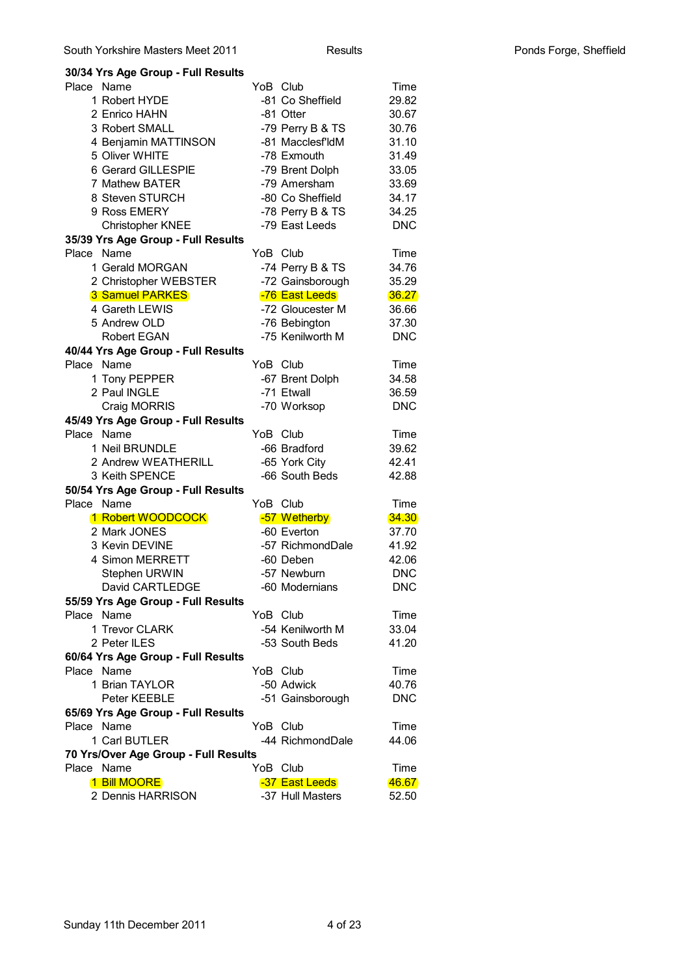|            | 30/34 Yrs Age Group - Full Results   |          |                  |              |
|------------|--------------------------------------|----------|------------------|--------------|
| Place Name |                                      | YoB Club |                  | Time         |
|            | 1 Robert HYDE                        |          | -81 Co Sheffield | 29.82        |
|            | 2 Enrico HAHN                        |          | -81 Otter        | 30.67        |
|            | 3 Robert SMALL                       |          | -79 Perry B & TS | 30.76        |
|            | 4 Benjamin MATTINSON                 |          | -81 Macclesf'ldM | 31.10        |
|            | 5 Oliver WHITE                       |          | -78 Exmouth      | 31.49        |
|            | 6 Gerard GILLESPIE                   |          | -79 Brent Dolph  | 33.05        |
|            | 7 Mathew BATER                       |          | -79 Amersham     | 33.69        |
|            | 8 Steven STURCH                      |          | -80 Co Sheffield | 34.17        |
|            | 9 Ross EMERY                         |          | -78 Perry B & TS | 34.25        |
|            | Christopher KNEE                     |          | -79 East Leeds   | <b>DNC</b>   |
|            | 35/39 Yrs Age Group - Full Results   |          |                  |              |
| Place Name |                                      | YoB Club |                  | Time         |
|            | 1 Gerald MORGAN                      |          | -74 Perry B & TS | 34.76        |
|            | 2 Christopher WEBSTER                |          | -72 Gainsborough | 35.29        |
|            | <b>3 Samuel PARKES</b>               |          | -76 East Leeds   | 36.27        |
|            | 4 Gareth LEWIS                       |          | -72 Gloucester M | 36.66        |
|            | 5 Andrew OLD                         |          | -76 Bebington    | 37.30        |
|            | <b>Robert EGAN</b>                   |          | -75 Kenilworth M | <b>DNC</b>   |
|            | 40/44 Yrs Age Group - Full Results   |          |                  |              |
| Place Name |                                      | YoB Club |                  | Time         |
|            | 1 Tony PEPPER                        |          | -67 Brent Dolph  | 34.58        |
|            | 2 Paul INGLE                         |          | -71 Etwall       | 36.59        |
|            | Craig MORRIS                         |          | -70 Worksop      | <b>DNC</b>   |
|            | 45/49 Yrs Age Group - Full Results   |          |                  |              |
| Place Name |                                      | YoB Club |                  | Time         |
|            | 1 Neil BRUNDLE                       |          | -66 Bradford     | 39.62        |
|            | 2 Andrew WEATHERILL                  |          | -65 York City    | 42.41        |
|            | 3 Keith SPENCE                       |          | -66 South Beds   | 42.88        |
|            | 50/54 Yrs Age Group - Full Results   |          |                  |              |
| Place Name |                                      | YoB Club |                  | Time         |
|            | 1 Robert WOODCOCK                    |          | -57 Wetherby     | <b>34.30</b> |
|            | 2 Mark JONES                         |          | -60 Everton      | 37.70        |
|            | 3 Kevin DEVINE                       |          | -57 RichmondDale | 41.92        |
|            | 4 Simon MERRETT                      |          | -60 Deben        | 42.06        |
|            | Stephen URWIN                        |          | -57 Newburn      | <b>DNC</b>   |
|            | David CARTLEDGE                      |          | -60 Modernians   | <b>DNC</b>   |
| Place Name | 55/59 Yrs Age Group - Full Results   | YoB Club |                  | Time         |
|            | 1 Trevor CLARK                       |          | -54 Kenilworth M | 33.04        |
|            | 2 Peter ILES                         |          | -53 South Beds   | 41.20        |
|            | 60/64 Yrs Age Group - Full Results   |          |                  |              |
| Place Name |                                      | YoB Club |                  | Time         |
|            | 1 Brian TAYLOR                       |          | -50 Adwick       | 40.76        |
|            | Peter KEEBLE                         |          | -51 Gainsborough | <b>DNC</b>   |
|            | 65/69 Yrs Age Group - Full Results   |          |                  |              |
| Place Name |                                      | YoB Club |                  | Time         |
|            | 1 Carl BUTLER                        |          | -44 RichmondDale | 44.06        |
|            | 70 Yrs/Over Age Group - Full Results |          |                  |              |
| Place Name |                                      | YoB Club |                  | Time         |
|            | 1 Bill MOORE                         |          | -37 East Leeds   | 46.67        |
|            | 2 Dennis HARRISON                    |          | -37 Hull Masters | 52.50        |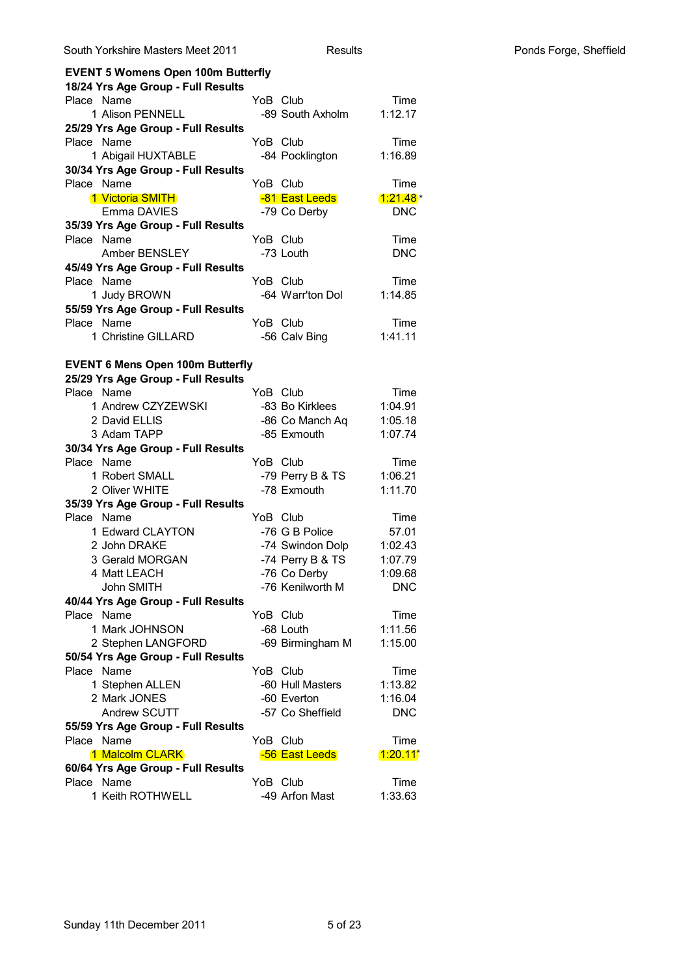| <b>EVENT 5 Womens Open 100m Butterfly</b> |                  |            |
|-------------------------------------------|------------------|------------|
| 18/24 Yrs Age Group - Full Results        |                  |            |
| Place Name                                | YoB Club         | Time       |
| 1 Alison PENNELL                          | -89 South Axholm | 1:12.17    |
| 25/29 Yrs Age Group - Full Results        |                  |            |
| Place Name                                | YoB Club         | Time       |
| 1 Abigail HUXTABLE                        | -84 Pocklington  | 1:16.89    |
| 30/34 Yrs Age Group - Full Results        |                  |            |
| Place Name                                | YoB Club         | Time       |
| 1 Victoria SMITH                          | -81 East Leeds   | $1:21.48*$ |
| Emma DAVIES                               | -79 Co Derby     | <b>DNC</b> |
| 35/39 Yrs Age Group - Full Results        |                  |            |
| Place Name                                | YoB Club         | Time       |
| Amber BENSLEY                             | -73 Louth        | <b>DNC</b> |
| 45/49 Yrs Age Group - Full Results        |                  |            |
| Place Name                                | YoB Club         | Time       |
| 1 Judy BROWN                              | -64 Warr'ton Dol | 1:14.85    |
| 55/59 Yrs Age Group - Full Results        |                  |            |
| Place Name                                | YoB Club         | Time       |
| 1 Christine GILLARD                       | -56 Calv Bing    | 1:41.11    |
|                                           |                  |            |
| <b>EVENT 6 Mens Open 100m Butterfly</b>   |                  |            |
| 25/29 Yrs Age Group - Full Results        |                  |            |
| Place Name                                | YoB Club         | Time       |
| 1 Andrew CZYZEWSKI                        | -83 Bo Kirklees  | 1:04.91    |
| 2 David ELLIS                             | -86 Co Manch Aq  | 1:05.18    |
| 3 Adam TAPP                               | -85 Exmouth      | 1:07.74    |
| 30/34 Yrs Age Group - Full Results        |                  |            |
| Place Name                                | YoB Club         | Time       |
| 1 Robert SMALL                            | -79 Perry B & TS | 1:06.21    |
| 2 Oliver WHITE                            | -78 Exmouth      | 1:11.70    |
| 35/39 Yrs Age Group - Full Results        |                  |            |
| Place Name                                | YoB Club         | Time       |
| 1 Edward CLAYTON                          | -76 G B Police   | 57.01      |
| 2 John DRAKE                              | -74 Swindon Dolp | 1:02.43    |
| 3 Gerald MORGAN                           | -74 Perry B & TS | 1:07.79    |
| 4 Matt LEACH                              | -76 Co Derby     | 1:09.68    |
| John SMITH                                | -76 Kenilworth M | <b>DNC</b> |
| 40/44 Yrs Age Group - Full Results        |                  |            |
| Place Name                                | YoB Club         | Time       |
| 1 Mark JOHNSON                            | -68 Louth        | 1:11.56    |
| 2 Stephen LANGFORD                        | -69 Birmingham M | 1:15.00    |
| 50/54 Yrs Age Group - Full Results        |                  |            |
| Name<br>Place                             | YoB Club         | Time       |
|                                           |                  |            |
| 1 Stephen ALLEN                           | -60 Hull Masters | 1:13.82    |
| 2 Mark JONES                              | -60 Everton      | 1:16.04    |
| Andrew SCUTT                              | -57 Co Sheffield | <b>DNC</b> |
| 55/59 Yrs Age Group - Full Results        |                  |            |
| Place Name                                | YoB Club         | Time       |
| 1 Malcolm CLARK                           | -56 East Leeds   | 1:20.11    |
| 60/64 Yrs Age Group - Full Results        |                  |            |
| Place Name                                | YoB Club         | Time       |
| 1 Keith ROTHWELL                          | -49 Arfon Mast   | 1:33.63    |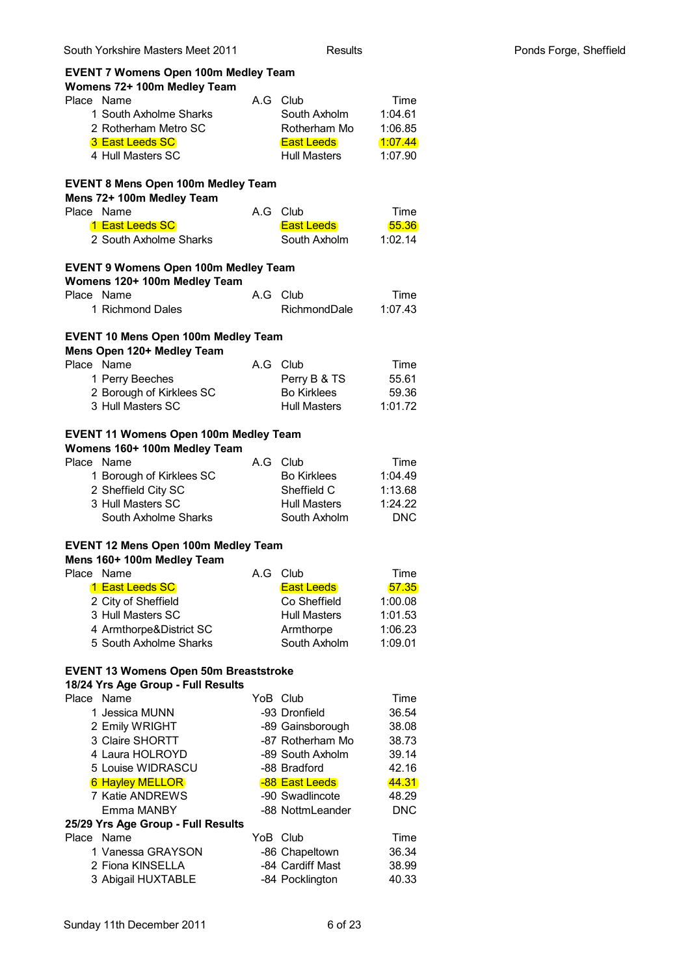| South Yorkshire Masters Meet 2011                                                  | <b>Results</b> |                                    |               |  |  |
|------------------------------------------------------------------------------------|----------------|------------------------------------|---------------|--|--|
| <b>EVENT 7 Womens Open 100m Medley Team</b><br>Womens 72+ 100m Medley Team         |                |                                    |               |  |  |
| Place Name                                                                         | A G            | Club                               | Time          |  |  |
| 1 South Axholme Sharks                                                             |                | South Axholm                       | 1:04.61       |  |  |
| 2 Rotherham Metro SC                                                               |                | Rotherham Mo                       | 1:06.85       |  |  |
| 3 East Leeds SC                                                                    |                | <b>East Leeds</b>                  | 1:07.44       |  |  |
| 4 Hull Masters SC                                                                  |                | <b>Hull Masters</b>                | 1:07.90       |  |  |
| <b>EVENT 8 Mens Open 100m Medley Team</b><br>Mens 72+ 100m Medley Team             |                |                                    |               |  |  |
| Place Name                                                                         |                | A.G Club                           | Time          |  |  |
| 1 East Leeds SC                                                                    |                | <b>East Leeds</b>                  | 55.36         |  |  |
| 2 South Axholme Sharks                                                             |                | South Axholm                       | 1:02.14       |  |  |
| <b>EVENT 9 Womens Open 100m Medley Team</b><br>Womens 120+ 100m Medley Team        |                |                                    |               |  |  |
| Place Name                                                                         | A G            | Club                               | Time          |  |  |
| 1 Richmond Dales                                                                   |                | RichmondDale                       | 1:07.43       |  |  |
| <b>EVENT 10 Mens Open 100m Medley Team</b>                                         |                |                                    |               |  |  |
| Mens Open 120+ Medley Team                                                         |                |                                    |               |  |  |
| Place Name                                                                         | A.G            | Club                               | Time<br>55.61 |  |  |
| 1 Perry Beeches<br>2 Borough of Kirklees SC                                        |                | Perry B & TS<br><b>Bo Kirklees</b> | 59.36         |  |  |
| 3 Hull Masters SC                                                                  |                | <b>Hull Masters</b>                | 1:01.72       |  |  |
|                                                                                    |                |                                    |               |  |  |
| <b>EVENT 11 Womens Open 100m Medley Team</b><br>Womens 160+ 100m Medley Team       |                |                                    |               |  |  |
| Place Name                                                                         | A.G            | Club                               | Time          |  |  |
| 1 Borough of Kirklees SC                                                           |                | <b>Bo Kirklees</b>                 | 1:04.49       |  |  |
| 2 Sheffield City SC                                                                |                | Sheffield C                        | 1:13.68       |  |  |
| 3 Hull Masters SC                                                                  |                | <b>Hull Masters</b>                | 1:24.22       |  |  |
| South Axholme Sharks                                                               |                | South Axholm                       | <b>DNC</b>    |  |  |
| <b>EVENT 12 Mens Open 100m Medley Team</b><br>Mens 160+ 100m Medley Team           |                |                                    |               |  |  |
| Name<br>Place                                                                      | A.G            | Club                               | Time          |  |  |
| 1 East Leeds SC                                                                    |                | <b>East Leeds</b>                  | 57.35         |  |  |
| 2 City of Sheffield                                                                |                | Co Sheffield                       | 1:00.08       |  |  |
| 3 Hull Masters SC                                                                  |                | <b>Hull Masters</b>                | 1:01.53       |  |  |
| 4 Armthorpe&District SC                                                            |                | Armthorpe                          | 1:06.23       |  |  |
| 5 South Axholme Sharks                                                             |                | South Axholm                       | 1:09.01       |  |  |
| <b>EVENT 13 Womens Open 50m Breaststroke</b><br>18/24 Yrs Age Group - Full Results |                |                                    |               |  |  |
| Place Name                                                                         |                | YoB Club                           | Time          |  |  |
| 1 Jessica MUNN                                                                     |                | -93 Dronfield                      | 36.54         |  |  |
| 2 Emily WRIGHT                                                                     |                | -89 Gainsborough                   | 38.08         |  |  |
| 3 Claire SHORTT                                                                    |                | -87 Rotherham Mo                   | 38.73         |  |  |
| 4 Laura HOLROYD                                                                    |                | -89 South Axholm                   | 39.14         |  |  |
| 5 Louise WIDRASCU                                                                  |                | -88 Bradford                       | 42.16         |  |  |
| <b>6 Hayley MELLOR</b>                                                             |                | -88 East Leeds                     | 44.31         |  |  |
| 7 Katie ANDREWS                                                                    |                | -90 Swadlincote                    | 48.29         |  |  |
| Emma MANBY<br>25/29 Yrs Age Group - Full Results                                   |                | -88 NottmLeander                   | <b>DNC</b>    |  |  |
| Place Name                                                                         |                | YoB Club                           | Time          |  |  |
| 1 Vanessa GRAYSON                                                                  |                | -86 Chapeltown                     | 36.34         |  |  |
| 2 Fiona KINSELLA                                                                   |                | -84 Cardiff Mast                   | 38.99         |  |  |
| 3 Abigail HUXTABLE                                                                 |                | -84 Pocklington                    | 40.33         |  |  |
|                                                                                    |                |                                    |               |  |  |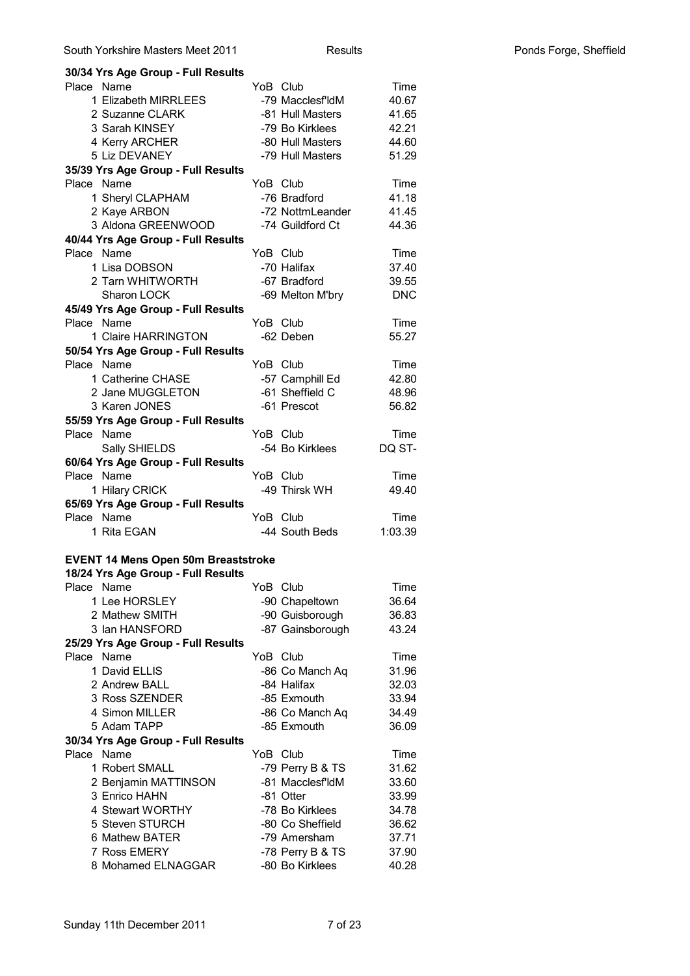| Place Name                                 | YoB Club  |                  | Time       |
|--------------------------------------------|-----------|------------------|------------|
| 1 Elizabeth MIRRLEES                       |           | -79 Macclesf'ldM | 40.67      |
| 2 Suzanne CLARK                            |           | -81 Hull Masters | 41.65      |
| 3 Sarah KINSEY                             |           | -79 Bo Kirklees  | 42.21      |
| 4 Kerry ARCHER                             |           | -80 Hull Masters | 44.60      |
| 5 Liz DEVANEY                              |           | -79 Hull Masters | 51.29      |
| 35/39 Yrs Age Group - Full Results         |           |                  |            |
| Place Name                                 | YoB Club  |                  | Time       |
| 1 Sheryl CLAPHAM                           |           | -76 Bradford     | 41.18      |
| 2 Kaye ARBON                               |           | -72 NottmLeander | 41.45      |
| 3 Aldona GREENWOOD                         |           | -74 Guildford Ct | 44.36      |
| 40/44 Yrs Age Group - Full Results         |           |                  |            |
| Place Name                                 | YoB Club  |                  | Time       |
| 1 Lisa DOBSON                              |           | -70 Halifax      | 37.40      |
| 2 Tarn WHITWORTH                           |           | -67 Bradford     | 39.55      |
| Sharon LOCK                                |           | -69 Melton M'bry | <b>DNC</b> |
| 45/49 Yrs Age Group - Full Results         |           |                  |            |
| Place Name                                 | YoB Club  |                  | Time       |
| 1 Claire HARRINGTON                        |           | -62 Deben        | 55.27      |
| 50/54 Yrs Age Group - Full Results         |           |                  |            |
| Place Name                                 | YoB Club  |                  | Time       |
| 1 Catherine CHASE                          |           | -57 Camphill Ed  | 42.80      |
| 2 Jane MUGGLETON                           |           | -61 Sheffield C  | 48.96      |
| 3 Karen JONES                              |           | -61 Prescot      | 56.82      |
| 55/59 Yrs Age Group - Full Results         |           |                  |            |
| Place Name                                 | YoB Club  |                  | Time       |
| Sally SHIELDS                              |           | -54 Bo Kirklees  | DQ ST-     |
| 60/64 Yrs Age Group - Full Results         |           |                  |            |
|                                            |           |                  | Time       |
| Place Name                                 | YoB Club  |                  |            |
| 1 Hilary CRICK                             |           | -49 Thirsk WH    | 49.40      |
| 65/69 Yrs Age Group - Full Results         |           |                  |            |
| Place Name                                 | YoB Club  |                  | Time       |
| 1 Rita EGAN                                |           | -44 South Beds   | 1:03.39    |
|                                            |           |                  |            |
| <b>EVENT 14 Mens Open 50m Breaststroke</b> |           |                  |            |
| 18/24 Yrs Age Group - Full Results         |           |                  |            |
| Place Name                                 | YoB Club  |                  | Time       |
| 1 Lee HORSLEY                              |           | -90 Chapeltown   | 36.64      |
| 2 Mathew SMITH                             |           | -90 Guisborough  | 36.83      |
| 3 Ian HANSFORD                             |           | -87 Gainsborough | 43.24      |
| 25/29 Yrs Age Group - Full Results         |           |                  |            |
| Place Name                                 | YoB Club  |                  | Time       |
| 1 David ELLIS                              |           | -86 Co Manch Aq  | 31.96      |
| 2 Andrew BALL                              |           | -84 Halifax      | 32.03      |
| 3 Ross SZENDER                             |           | -85 Exmouth      | 33.94      |
| 4 Simon MILLER                             |           | -86 Co Manch Aq  | 34.49      |
| 5 Adam TAPP                                |           | -85 Exmouth      | 36.09      |
| 30/34 Yrs Age Group - Full Results         |           |                  |            |
| Place Name                                 | YoB Club  |                  | Time       |
| 1 Robert SMALL                             |           | -79 Perry B & TS | 31.62      |
| 2 Benjamin MATTINSON                       |           | -81 Macclesf'ldM | 33.60      |
| 3 Enrico HAHN                              | -81 Otter |                  | 33.99      |
| 4 Stewart WORTHY                           |           | -78 Bo Kirklees  | 34.78      |
| 5 Steven STURCH                            |           | -80 Co Sheffield | 36.62      |
| 6 Mathew BATER                             |           | -79 Amersham     | 37.71      |
| 7 Ross EMERY                               |           | -78 Perry B & TS | 37.90      |
| 8 Mohamed ELNAGGAR                         |           | -80 Bo Kirklees  | 40.28      |

South Yorkshire Masters Meet 2011

30/34 Yrs Age Group - Full Results

Results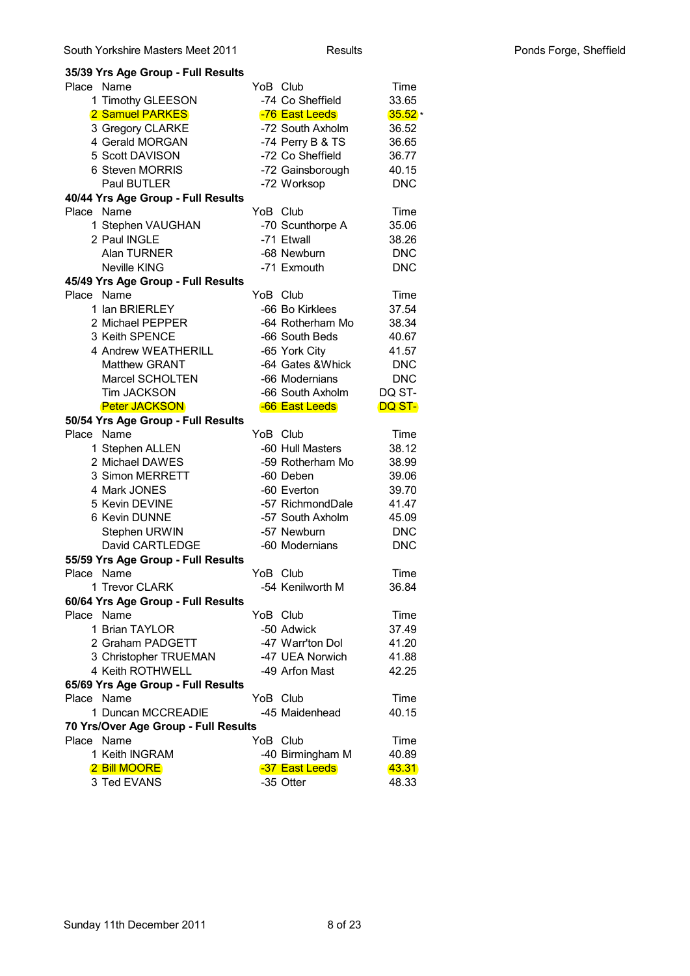#### **35/39 Yrs Age Group - Full Results** Place Name **YoB** Club Time 1 Timothy GLEESON -74 Co Sheffield 33.65 2 Samuel PARKES -76 East Leeds 35.52 3 Gregory CLARKE -72 South Axholm 36.52 4 Gerald MORGAN -74 Perry B & TS 36.65 5 Scott DAVISON -72 Co Sheffield 36.77 6 Steven MORRIS -72 Gainsborough 40.15 Paul BUTLER -72 Worksop DNC **40/44 Yrs Age Group - Full Results** Place Name **YoB** Club Time 1 Stephen VAUGHAN -70 Scunthorpe A 35.06 2 Paul INGLE -71 Etwall 38.26 Alan TURNER -68 Newburn DNC Neville KING **-71 Exmouth** DNC **45/49 Yrs Age Group - Full Results** Place Name **YoB** Club Time 1 Ian BRIERLEY -66 Bo Kirklees 37.54 2 Michael PEPPER -64 Rotherham Mo 38.34 3 Keith SPENCE -66 South Beds 40.67 4 Andrew WEATHERILL -65 York City 41.57 Matthew GRANT -64 Gates &Whick DNC Marcel SCHOLTEN -66 Modernians DNC Tim JACKSON -66 South Axholm DQ ST-Peter JACKSON - 66 East Leeds DQ ST-**50/54 Yrs Age Group - Full Results** Place Name **YoB** Club Time 1 Stephen ALLEN -60 Hull Masters 38.12 2 Michael DAWES -59 Rotherham Mo 38.99 3 Simon MERRETT -60 Deben 39.06 4 Mark JONES -60 Everton 39.70 5 Kevin DEVINE -57 RichmondDale 41.47 6 Kevin DUNNE -57 South Axholm 45.09 Stephen URWIN -57 Newburn DNC David CARTLEDGE -60 Modernians DNC **55/59 Yrs Age Group - Full Results** Place Name **YoB** Club Time 1 Trevor CLARK -54 Kenilworth M 36.84 **60/64 Yrs Age Group - Full Results** Place Name **YoB** Club Time 1 Brian TAYLOR -50 Adwick 37.49 2 Graham PADGETT - 47 Warr'ton Dol 41.20 3 Christopher TRUEMAN -47 UEA Norwich 41.88 4 Keith ROTHWELL -49 Arfon Mast 42.25 **65/69 Yrs Age Group - Full Results** Place Name **YoB** Club Time 1 Duncan MCCREADIE -45 Maidenhead 40.15 **70 Yrs/Over Age Group - Full Results** Place Name **YoB** Club Time 1 Keith INGRAM -40 Birmingham M 40.89 2 Bill MOORE **-37 East Leeds** 43.31 3 Ted EVANS -35 Otter 48.33  $35.52*$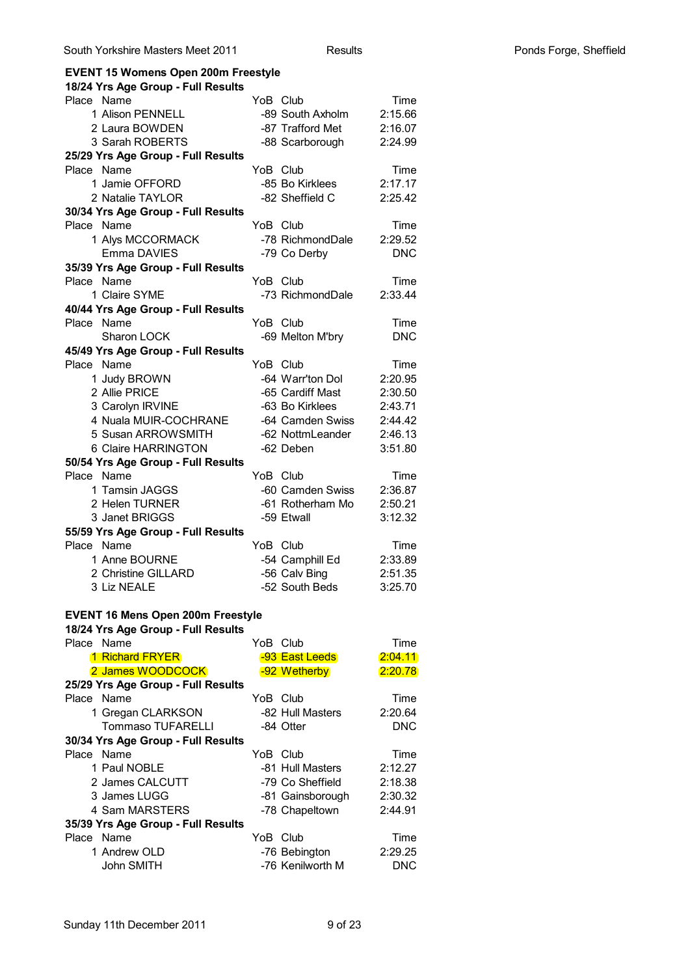# **EVENT 15 Womens Open 200m Freestyle**

| 18/24 Yrs Age Group - Full Results       |                  |            |
|------------------------------------------|------------------|------------|
| Place Name                               | YoB Club         | Time       |
| 1 Alison PENNELL                         | -89 South Axholm | 2:15.66    |
| 2 Laura BOWDEN                           | -87 Trafford Met | 2:16.07    |
| 3 Sarah ROBERTS                          | -88 Scarborough  | 2:24.99    |
| 25/29 Yrs Age Group - Full Results       |                  |            |
| Place Name                               | YoB Club         | Time       |
| 1 Jamie OFFORD                           | -85 Bo Kirklees  | 2:17.17    |
| 2 Natalie TAYLOR                         | -82 Sheffield C  | 2:25.42    |
| 30/34 Yrs Age Group - Full Results       |                  |            |
| Place Name                               | YoB Club         | Time       |
| 1 Alys MCCORMACK                         | -78 RichmondDale | 2:29.52    |
| Emma DAVIES                              | -79 Co Derby     | <b>DNC</b> |
| 35/39 Yrs Age Group - Full Results       |                  |            |
| Place Name                               | YoB Club         | Time       |
| 1 Claire SYME                            | -73 RichmondDale | 2:33.44    |
| 40/44 Yrs Age Group - Full Results       |                  |            |
| Place Name                               | YoB Club         | Time       |
| Sharon LOCK                              | -69 Melton M'bry | <b>DNC</b> |
| 45/49 Yrs Age Group - Full Results       |                  |            |
| Place Name                               | YoB Club         | Time       |
| 1 Judy BROWN                             | -64 Warr'ton Dol | 2:20.95    |
| 2 Allie PRICE                            | -65 Cardiff Mast | 2:30.50    |
| 3 Carolyn IRVINE                         | -63 Bo Kirklees  | 2:43.71    |
| 4 Nuala MUIR-COCHRANE                    | -64 Camden Swiss | 2:44.42    |
| 5 Susan ARROWSMITH                       | -62 NottmLeander | 2:46.13    |
| 6 Claire HARRINGTON                      | -62 Deben        | 3:51.80    |
| 50/54 Yrs Age Group - Full Results       |                  |            |
| Place Name                               | YoB Club         | Time       |
| 1 Tamsin JAGGS                           | -60 Camden Swiss | 2:36.87    |
| 2 Helen TURNER                           | -61 Rotherham Mo | 2:50.21    |
| 3 Janet BRIGGS                           | -59 Etwall       | 3:12.32    |
| 55/59 Yrs Age Group - Full Results       |                  |            |
| Place Name                               | YoB Club         | Time       |
| 1 Anne BOURNE                            | -54 Camphill Ed  | 2:33.89    |
| 2 Christine GILLARD                      | -56 Calv Bing    | 2:51.35    |
| 3 Liz NEALE                              | -52 South Beds   | 3:25.70    |
|                                          |                  |            |
| <b>EVENT 16 Mens Open 200m Freestyle</b> |                  |            |
| 18/24 Yrs Age Group - Full Results       |                  |            |
| Place Name                               | YoB Club         | Time       |
| <b>1 Richard FRYER</b>                   | -93 East Leeds   | 2:04.11    |
| 2 James WOODCOCK                         | -92 Wetherby     | 2:20.78    |
| 25/29 Yrs Age Group - Full Results       |                  |            |
| Place<br>Name                            | YoB Club         | Time       |
| 1 Gregan CLARKSON                        | -82 Hull Masters | 2:20.64    |
| <b>Tommaso TUFARELLI</b>                 | -84 Otter        | <b>DNC</b> |
| 30/34 Yrs Age Group - Full Results       |                  |            |
| Place Name                               | YoB Club         | Time       |
| 1 Paul NOBLE                             | -81 Hull Masters | 2:12.27    |
| 2 James CALCUTT                          | -79 Co Sheffield |            |
| 3 James LUGG                             |                  | 2:18.38    |
|                                          | -81 Gainsborough | 2:30.32    |
| 4 Sam MARSTERS                           | -78 Chapeltown   | 2:44.91    |
| 35/39 Yrs Age Group - Full Results       |                  |            |
| Place Name                               | YoB Club         | Time       |
| 1 Andrew OLD                             | -76 Bebington    | 2:29.25    |
| John SMITH                               | -76 Kenilworth M | DNC .      |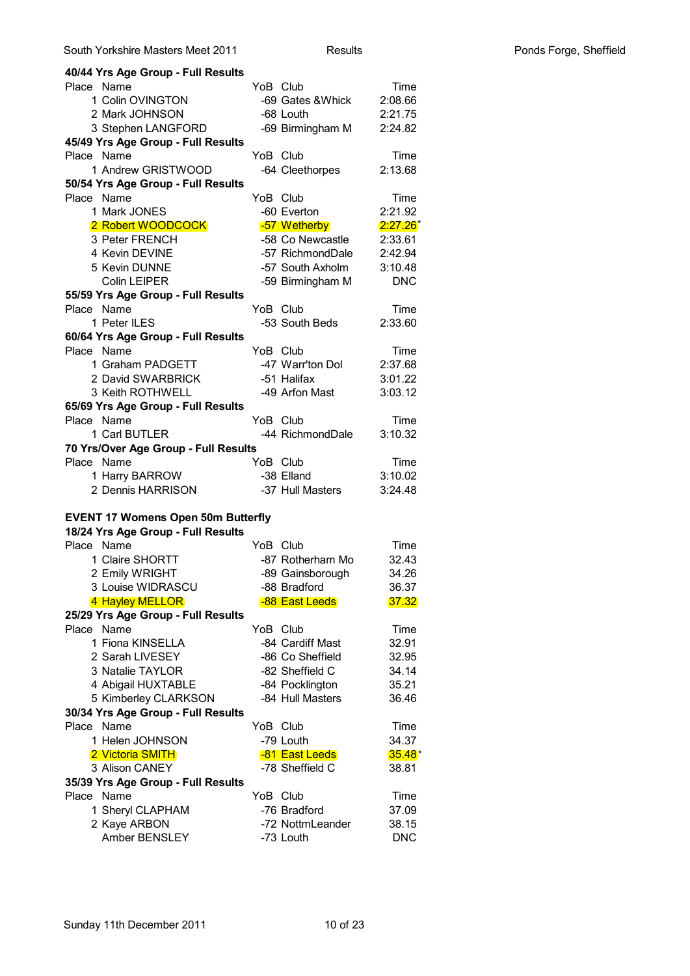| 40/44 Yrs Age Group - Full Results                    |          |                   |             |
|-------------------------------------------------------|----------|-------------------|-------------|
| Place Name                                            | YoB Club |                   | Time        |
| 1 Colin OVINGTON                                      |          | -69 Gates & Whick | 2:08.66     |
| 2 Mark JOHNSON                                        |          | -68 Louth         | 2:21.75     |
| 3 Stephen LANGFORD                                    |          | -69 Birmingham M  | 2:24.82     |
| 45/49 Yrs Age Group - Full Results                    |          |                   |             |
| Place Name                                            | YoB Club |                   | Time        |
| 1 Andrew GRISTWOOD                                    |          | -64 Cleethorpes   | 2:13.68     |
| 50/54 Yrs Age Group - Full Results                    |          |                   |             |
| Place Name                                            | YoB Club |                   | Time        |
| 1 Mark JONES                                          |          | -60 Everton       | 2:21.92     |
| 2 Robert WOODCOCK                                     |          | -57 Wetherby      | $2:27.26^*$ |
| 3 Peter FRENCH                                        |          | -58 Co Newcastle  | 2:33.61     |
| 4 Kevin DEVINE                                        |          | -57 RichmondDale  | 2:42.94     |
| 5 Kevin DUNNE                                         |          | -57 South Axholm  | 3:10.48     |
| Colin LEIPER                                          |          | -59 Birmingham M  | <b>DNC</b>  |
| 55/59 Yrs Age Group - Full Results                    |          |                   |             |
| Place Name                                            | YoB Club |                   | Time        |
| 1 Peter ILES                                          |          | -53 South Beds    | 2:33.60     |
| 60/64 Yrs Age Group - Full Results                    |          |                   |             |
| Place Name                                            | YoB Club |                   | Time        |
| 1 Graham PADGETT                                      |          | -47 Warr'ton Dol  | 2:37.68     |
| 2 David SWARBRICK                                     |          | -51 Halifax       | 3:01.22     |
| 3 Keith ROTHWELL                                      |          | -49 Arfon Mast    | 3:03.12     |
| 65/69 Yrs Age Group - Full Results                    |          |                   |             |
| Place Name                                            | YoB Club |                   | Time        |
| 1 Carl BUTLER                                         |          | -44 RichmondDale  | 3:10.32     |
| 70 Yrs/Over Age Group - Full Results                  |          |                   |             |
| Place Name                                            | YoB Club |                   | Time        |
| 1 Harry BARROW                                        |          | -38 Elland        | 3:10.02     |
| 2 Dennis HARRISON                                     |          | -37 Hull Masters  | 3:24.48     |
|                                                       |          |                   |             |
| <b>EVENT 17 Womens Open 50m Butterfly</b>             |          |                   |             |
| 18/24 Yrs Age Group - Full Results                    |          |                   |             |
| Place Name<br>1 Claire SHORTT                         | YoB Club |                   | Time        |
|                                                       |          | -87 Rotherham Mo  | 32.43       |
| 2 Emily WRIGHT<br>3 Louise WIDRASCU                   |          | -89 Gainsborough  | 34.26       |
|                                                       |          | -88 Bradford      | 36.37       |
| 4 Hayley MELLOR<br>25/29 Yrs Age Group - Full Results |          | -88 East Leeds    | 37.32       |
| Place Name                                            | YoB Club |                   | Time        |
| 1 Fiona KINSELLA                                      |          | -84 Cardiff Mast  | 32.91       |
| 2 Sarah LIVESEY                                       |          | -86 Co Sheffield  | 32.95       |
| 3 Natalie TAYLOR                                      |          | -82 Sheffield C   | 34.14       |
| 4 Abigail HUXTABLE                                    |          | -84 Pocklington   | 35.21       |
| 5 Kimberley CLARKSON                                  |          | -84 Hull Masters  | 36.46       |
| 30/34 Yrs Age Group - Full Results                    |          |                   |             |
| Place Name                                            | YoB Club |                   | Time        |
| 1 Helen JOHNSON                                       |          | -79 Louth         | 34.37       |
| 2 Victoria SMITH                                      |          | -81 East Leeds    | $35.48*$    |
| 3 Alison CANEY                                        |          | -78 Sheffield C   | 38.81       |
| 35/39 Yrs Age Group - Full Results                    |          |                   |             |
| Place Name                                            | YoB Club |                   | Time        |
| 1 Sheryl CLAPHAM                                      |          | -76 Bradford      | 37.09       |
| 2 Kaye ARBON                                          |          | -72 NottmLeander  | 38.15       |
| Amber BENSLEY                                         |          | -73 Louth         | <b>DNC</b>  |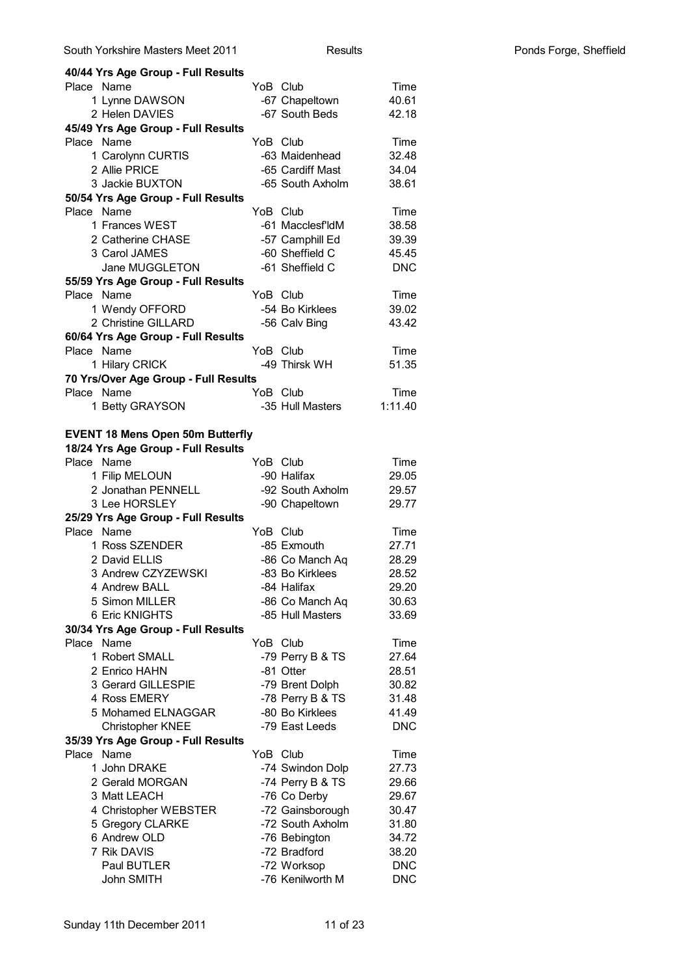| 40/44 Yrs Age Group - Full Results      |          |                                    |                |
|-----------------------------------------|----------|------------------------------------|----------------|
| Place Name                              |          | YoB Club                           | Time           |
| 1 Lynne DAWSON                          |          | -67 Chapeltown                     | 40.61          |
| 2 Helen DAVIES                          |          | -67 South Beds                     | 42.18          |
| 45/49 Yrs Age Group - Full Results      |          |                                    |                |
| Place Name                              |          | YoB Club                           | Time           |
| 1 Carolynn CURTIS                       |          | -63 Maidenhead                     | 32.48          |
| 2 Allie PRICE                           |          | -65 Cardiff Mast                   | 34.04          |
| 3 Jackie BUXTON                         |          | -65 South Axholm                   | 38.61          |
| 50/54 Yrs Age Group - Full Results      |          |                                    |                |
| Place Name                              |          | YoB Club                           | Time           |
| 1 Frances WEST                          |          | -61 Macclesf'ldM                   | 38.58          |
| 2 Catherine CHASE                       |          | -57 Camphill Ed                    | 39.39          |
| 3 Carol JAMES                           |          | -60 Sheffield C                    | 45.45          |
| Jane MUGGLETON                          |          | -61 Sheffield C                    | <b>DNC</b>     |
| 55/59 Yrs Age Group - Full Results      |          |                                    |                |
| Place Name                              |          | YoB Club                           | Time           |
| 1 Wendy OFFORD                          |          | -54 Bo Kirklees                    | 39.02          |
| 2 Christine GILLARD                     |          | -56 Calv Bing                      | 43.42          |
| 60/64 Yrs Age Group - Full Results      |          |                                    |                |
| Place Name                              |          | YoB Club                           | Time           |
| 1 Hilary CRICK                          |          | -49 Thirsk WH                      | 51.35          |
| 70 Yrs/Over Age Group - Full Results    |          |                                    |                |
| Place Name                              |          | YoB Club                           | Time           |
| 1 Betty GRAYSON                         |          | -35 Hull Masters                   | 1:11.40        |
|                                         |          |                                    |                |
| <b>EVENT 18 Mens Open 50m Butterfly</b> |          |                                    |                |
| 18/24 Yrs Age Group - Full Results      |          |                                    |                |
| Place Name                              |          | YoB Club                           | Time           |
| 1 Filip MELOUN                          |          | -90 Halifax                        | 29.05          |
| 2 Jonathan PENNELL<br>3 Lee HORSLEY     |          | -92 South Axholm                   | 29.57          |
|                                         |          | -90 Chapeltown                     | 29.77          |
| 25/29 Yrs Age Group - Full Results      |          | YoB Club                           |                |
| Place Name<br>1 Ross SZENDER            |          | -85 Exmouth                        | Time<br>27.71  |
|                                         |          |                                    | 28.29          |
| 2 David ELLIS<br>3 Andrew CZYZEWSKI     |          | -86 Co Manch Aq<br>-83 Bo Kirklees |                |
| 4 Andrew BALL                           |          | -84 Halifax                        | 28.52<br>29.20 |
| 5 Simon MILLER                          |          | -86 Co Manch Aq                    | 30.63          |
| 6 Eric KNIGHTS                          |          | -85 Hull Masters                   | 33.69          |
| 30/34 Yrs Age Group - Full Results      |          |                                    |                |
| Place Name                              |          | YoB Club                           | Time           |
| 1 Robert SMALL                          |          | -79 Perry B & TS                   | 27.64          |
| 2 Enrico HAHN                           |          | -81 Otter                          | 28.51          |
| 3 Gerard GILLESPIE                      |          | -79 Brent Dolph                    | 30.82          |
| 4 Ross EMERY                            |          | -78 Perry B & TS                   | 31.48          |
| 5 Mohamed ELNAGGAR                      |          | -80 Bo Kirklees                    | 41.49          |
| <b>Christopher KNEE</b>                 |          | -79 East Leeds                     | <b>DNC</b>     |
| 35/39 Yrs Age Group - Full Results      |          |                                    |                |
| Place<br>Name                           | YoB Club |                                    | Time           |
| 1 John DRAKE                            |          | -74 Swindon Dolp                   | 27.73          |
| 2 Gerald MORGAN                         |          | -74 Perry B & TS                   | 29.66          |
| 3 Matt LEACH                            |          | -76 Co Derby                       | 29.67          |
| 4 Christopher WEBSTER                   |          | -72 Gainsborough                   | 30.47          |
| 5 Gregory CLARKE                        |          | -72 South Axholm                   | 31.80          |
| 6 Andrew OLD                            |          | -76 Bebington                      | 34.72          |
| 7 Rik DAVIS                             |          | -72 Bradford                       | 38.20          |
| Paul BUTLER                             |          | -72 Worksop                        | <b>DNC</b>     |
| John SMITH                              |          | -76 Kenilworth M                   | <b>DNC</b>     |
|                                         |          |                                    |                |

South Yorkshire Masters Meet 2011

Results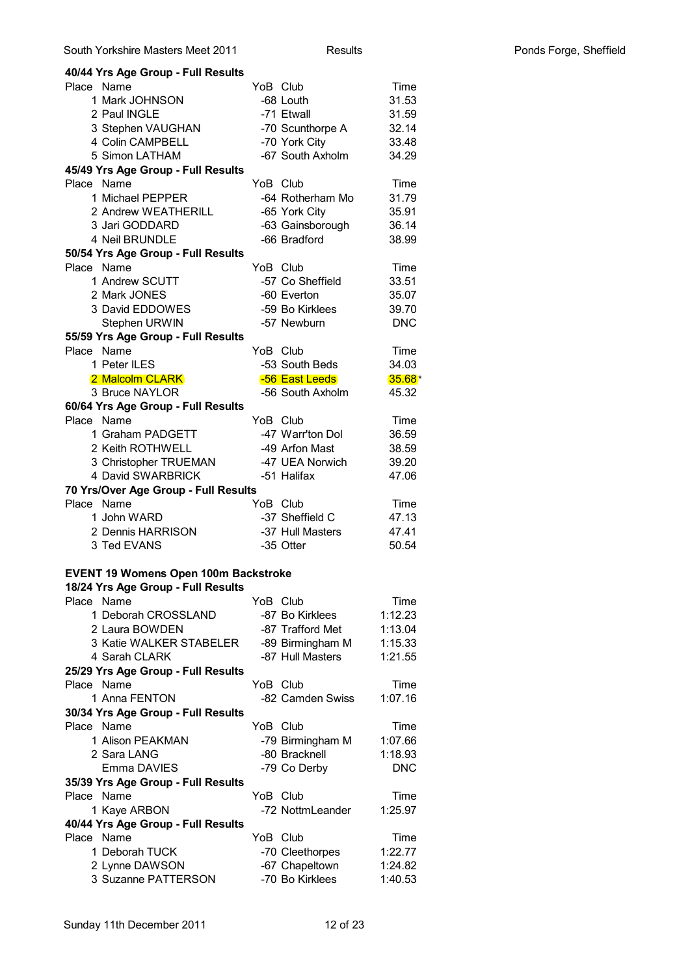| 40/44 Yrs Age Group - Full Results                                                |          |                  |                   |
|-----------------------------------------------------------------------------------|----------|------------------|-------------------|
| Place Name                                                                        | YoB Club |                  | Time              |
| 1 Mark JOHNSON                                                                    |          | -68 Louth        | 31.53             |
| 2 Paul INGLE                                                                      |          | -71 Etwall       | 31.59             |
| 3 Stephen VAUGHAN                                                                 |          | -70 Scunthorpe A | 32.14             |
| 4 Colin CAMPBELL                                                                  |          | -70 York City    | 33.48             |
| 5 Simon LATHAM                                                                    |          | -67 South Axholm | 34.29             |
| 45/49 Yrs Age Group - Full Results                                                |          |                  |                   |
| Place Name                                                                        | YoB Club |                  | Time              |
| 1 Michael PEPPER                                                                  |          | -64 Rotherham Mo | 31.79             |
| 2 Andrew WEATHERILL                                                               |          | -65 York City    | 35.91             |
| 3 Jari GODDARD                                                                    |          | -63 Gainsborough | 36.14             |
| 4 Neil BRUNDLE                                                                    |          | -66 Bradford     | 38.99             |
| 50/54 Yrs Age Group - Full Results                                                |          |                  |                   |
| Place Name                                                                        | YoB Club |                  | Time              |
| 1 Andrew SCUTT                                                                    |          | -57 Co Sheffield | 33.51             |
| 2 Mark JONES                                                                      |          | -60 Everton      | 35.07             |
| 3 David EDDOWES                                                                   |          | -59 Bo Kirklees  | 39.70             |
| Stephen URWIN                                                                     |          | -57 Newburn      | <b>DNC</b>        |
| 55/59 Yrs Age Group - Full Results                                                |          |                  |                   |
| Place Name                                                                        | YoB Club |                  | Time              |
| 1 Peter ILES                                                                      |          | -53 South Beds   | 34.03             |
| 2 Malcolm CLARK<br>3 Bruce NAYLOR                                                 |          | -56 East Leeds   | $35.68*$<br>45.32 |
|                                                                                   |          | -56 South Axholm |                   |
| 60/64 Yrs Age Group - Full Results<br>Place Name                                  |          | YoB Club         | Time              |
| 1 Graham PADGETT                                                                  |          | -47 Warr'ton Dol | 36.59             |
| 2 Keith ROTHWELL                                                                  |          | -49 Arfon Mast   | 38.59             |
| 3 Christopher TRUEMAN                                                             |          | -47 UEA Norwich  | 39.20             |
| 4 David SWARBRICK                                                                 |          | -51 Halifax      | 47.06             |
| 70 Yrs/Over Age Group - Full Results                                              |          |                  |                   |
| Place Name                                                                        | YoB Club |                  | Time              |
| 1 John WARD                                                                       |          | -37 Sheffield C  | 47.13             |
| 2 Dennis HARRISON                                                                 |          | -37 Hull Masters | 47.41             |
| 3 Ted EVANS                                                                       |          | -35 Otter        | 50.54             |
|                                                                                   |          |                  |                   |
|                                                                                   |          |                  |                   |
|                                                                                   |          |                  |                   |
| <b>EVENT 19 Womens Open 100m Backstroke</b><br>18/24 Yrs Age Group - Full Results |          |                  |                   |
| Place Name                                                                        | YoB Club |                  | Time              |
| 1 Deborah CROSSLAND                                                               |          | -87 Bo Kirklees  | 1:12.23           |
| 2 Laura BOWDEN                                                                    |          | -87 Trafford Met | 1:13.04           |
| 3 Katie WALKER STABELER                                                           |          | -89 Birmingham M | 1:15.33           |
| 4 Sarah CLARK                                                                     |          | -87 Hull Masters | 1:21.55           |
| 25/29 Yrs Age Group - Full Results                                                |          |                  |                   |
| Place Name                                                                        | YoB Club |                  | Time              |
| 1 Anna FENTON                                                                     |          | -82 Camden Swiss | 1:07.16           |
| 30/34 Yrs Age Group - Full Results                                                |          |                  |                   |
| Place Name                                                                        | YoB Club |                  | Time              |
| 1 Alison PEAKMAN                                                                  |          | -79 Birmingham M | 1:07.66           |
| 2 Sara LANG                                                                       |          | -80 Bracknell    | 1:18.93           |
| Emma DAVIES                                                                       |          | -79 Co Derby     | <b>DNC</b>        |
| 35/39 Yrs Age Group - Full Results                                                |          |                  |                   |
| Place Name                                                                        | YoB Club |                  | Time              |
| 1 Kaye ARBON                                                                      |          | -72 NottmLeander | 1:25.97           |
| 40/44 Yrs Age Group - Full Results                                                |          |                  |                   |
| Place Name                                                                        | YoB Club |                  | Time              |
| 1 Deborah TUCK                                                                    |          | -70 Cleethorpes  | 1:22.77           |
| 2 Lynne DAWSON                                                                    |          | -67 Chapeltown   | 1:24.82           |
| 3 Suzanne PATTERSON                                                               |          | -70 Bo Kirklees  | 1:40.53           |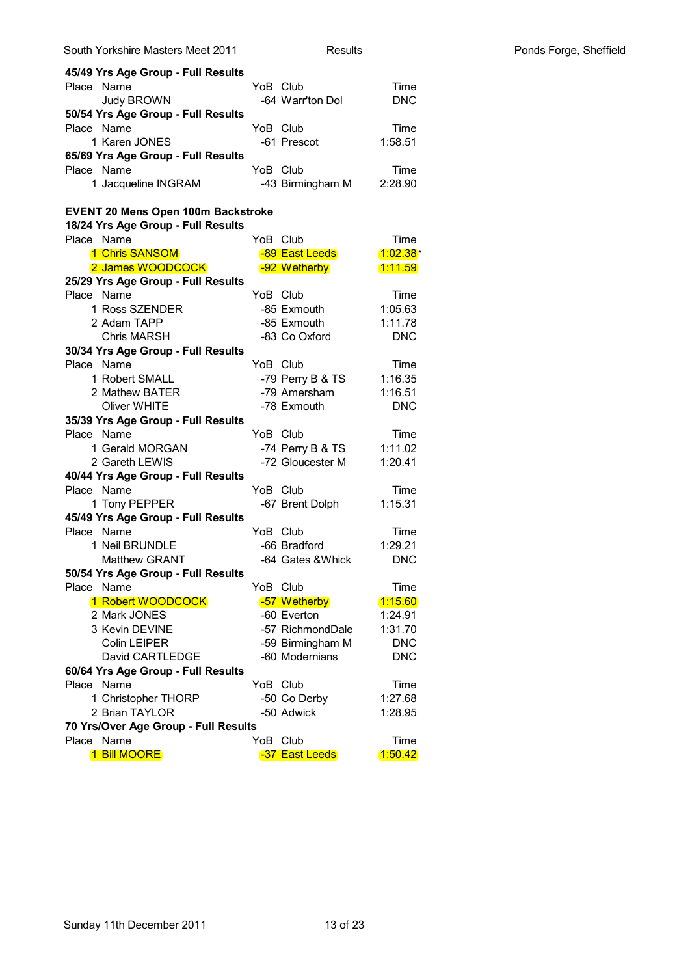|            | South Yorkshire Masters Meet 2011         |          | Results           |                 |            | Ponds Forge, Sheffield |
|------------|-------------------------------------------|----------|-------------------|-----------------|------------|------------------------|
|            | 45/49 Yrs Age Group - Full Results        |          |                   |                 |            |                        |
|            | Place Name                                | YoB Club |                   |                 | Time       |                        |
|            | Judy BROWN                                |          | -64 Warr'ton Dol  |                 | <b>DNC</b> |                        |
|            | 50/54 Yrs Age Group - Full Results        |          |                   |                 |            |                        |
|            | Place Name                                | YoB Club |                   |                 | Time       |                        |
|            | 1 Karen JONES                             |          | -61 Prescot       | 1:58.51         |            |                        |
|            | 65/69 Yrs Age Group - Full Results        |          |                   |                 |            |                        |
|            | Place Name                                | YoB Club |                   |                 | Time       |                        |
|            | 1 Jacqueline INGRAM                       |          | -43 Birmingham M  | 2:28.90         |            |                        |
|            | <b>EVENT 20 Mens Open 100m Backstroke</b> |          |                   |                 |            |                        |
|            | 18/24 Yrs Age Group - Full Results        |          |                   |                 |            |                        |
|            | Place Name                                | YoB Club |                   |                 | Time       |                        |
|            | 1 Chris SANSOM                            |          | -89 East Leeds    | $1:02.38*$      |            |                        |
|            | 2 James WOODCOCK                          |          | -92 Wetherby      | <u> 1:11.59</u> |            |                        |
|            | 25/29 Yrs Age Group - Full Results        |          |                   |                 |            |                        |
| Place Name |                                           | YoB Club |                   |                 | Time       |                        |
|            | 1 Ross SZENDER                            |          | -85 Exmouth       | 1:05.63         |            |                        |
|            | 2 Adam TAPP                               |          | -85 Exmouth       | 1:11.78         |            |                        |
|            | <b>Chris MARSH</b>                        |          | -83 Co Oxford     |                 | <b>DNC</b> |                        |
|            | 30/34 Yrs Age Group - Full Results        |          |                   |                 |            |                        |
| Place Name |                                           | YoB Club |                   |                 | Time       |                        |
|            | 1 Robert SMALL                            |          | -79 Perry B & TS  | 1:16.35         |            |                        |
|            | 2 Mathew BATER                            |          | -79 Amersham      | 1:16.51         |            |                        |
|            | <b>Oliver WHITE</b>                       |          | -78 Exmouth       |                 | <b>DNC</b> |                        |
|            | 35/39 Yrs Age Group - Full Results        |          |                   |                 |            |                        |
| Place Name |                                           |          | YoB Club          |                 | Time       |                        |
|            | 1 Gerald MORGAN                           |          | -74 Perry B & TS  | 1:11.02         |            |                        |
|            | 2 Gareth LEWIS                            |          | -72 Gloucester M  | 1:20.41         |            |                        |
|            | 40/44 Yrs Age Group - Full Results        |          |                   |                 |            |                        |
|            | Place Name                                | YoB Club |                   |                 | Time       |                        |
|            | 1 Tony PEPPER                             |          | -67 Brent Dolph   | 1:15.31         |            |                        |
|            | 45/49 Yrs Age Group - Full Results        |          |                   |                 |            |                        |
| Place Name |                                           | YoB Club |                   |                 | Time       |                        |
|            | 1 Neil BRUNDLE                            |          | -66 Bradford      | 1:29.21         |            |                        |
|            | <b>Matthew GRANT</b>                      |          | -64 Gates & Whick |                 | <b>DNC</b> |                        |
|            | 50/54 Yrs Age Group - Full Results        |          |                   |                 |            |                        |
| Place Name |                                           | YoB Club |                   |                 | Time       |                        |
|            | 1 Robert WOODCOCK                         |          | -57 Wetherby      | 1:15.60         |            |                        |
|            | 2 Mark JONES                              |          | -60 Everton       | 1:24.91         |            |                        |
|            | 3 Kevin DEVINE                            |          | -57 RichmondDale  | 1:31.70         |            |                        |
|            | <b>Colin LEIPER</b>                       |          | -59 Birmingham M  |                 | <b>DNC</b> |                        |
|            | David CARTLEDGE                           |          | -60 Modernians    |                 | <b>DNC</b> |                        |
|            | 60/64 Yrs Age Group - Full Results        |          |                   |                 |            |                        |
|            | Place Name                                | YoB Club |                   |                 | Time       |                        |
|            | 1 Christopher THORP                       |          | -50 Co Derby      | 1:27.68         |            |                        |
|            | 2 Brian TAYLOR                            |          | -50 Adwick        | 1:28.95         |            |                        |
|            | 70 Yrs/Over Age Group - Full Results      |          |                   |                 |            |                        |
| Place Name |                                           | YoB Club |                   |                 | Time       |                        |
|            | 1 Bill MOORE                              |          | -37 East Leeds    | 1:50.42         |            |                        |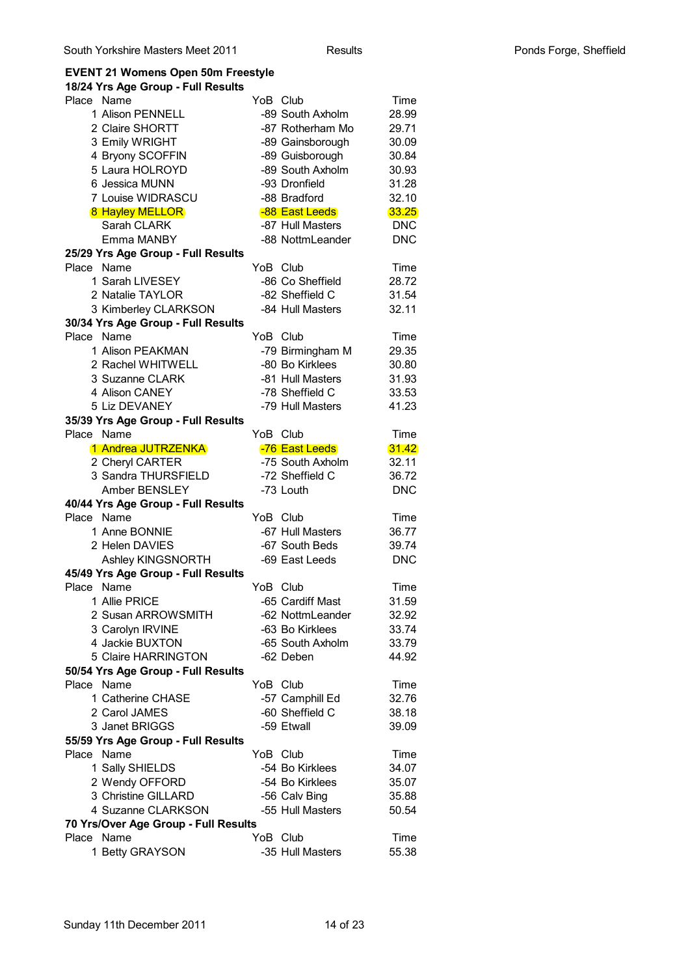# **EVENT 21 Womens Open 50m Freestyle**

| 18/24 Yrs Age Group - Full Results   |                  |            |
|--------------------------------------|------------------|------------|
| Place Name                           | YoB Club         | Time       |
| 1 Alison PENNELL                     | -89 South Axholm | 28.99      |
| 2 Claire SHORTT                      | -87 Rotherham Mo | 29.71      |
| 3 Emily WRIGHT                       | -89 Gainsborough | 30.09      |
| 4 Bryony SCOFFIN                     | -89 Guisborough  | 30.84      |
| 5 Laura HOLROYD                      | -89 South Axholm | 30.93      |
| 6 Jessica MUNN                       | -93 Dronfield    | 31.28      |
| 7 Louise WIDRASCU                    | -88 Bradford     | 32.10      |
| <b>8 Hayley MELLOR</b>               | -88 East Leeds   | 33.25      |
| Sarah CLARK                          | -87 Hull Masters | <b>DNC</b> |
| Emma MANBY                           | -88 NottmLeander | <b>DNC</b> |
| 25/29 Yrs Age Group - Full Results   |                  |            |
| Place Name                           | YoB Club         | Time       |
| 1 Sarah LIVESEY                      | -86 Co Sheffield | 28.72      |
| 2 Natalie TAYLOR                     | -82 Sheffield C  | 31.54      |
| 3 Kimberley CLARKSON                 | -84 Hull Masters | 32.11      |
| 30/34 Yrs Age Group - Full Results   |                  |            |
| Place Name                           | YoB Club         | Time       |
| 1 Alison PEAKMAN                     | -79 Birmingham M | 29.35      |
| 2 Rachel WHITWELL                    | -80 Bo Kirklees  | 30.80      |
| 3 Suzanne CLARK                      | -81 Hull Masters | 31.93      |
| 4 Alison CANEY                       | -78 Sheffield C  | 33.53      |
| 5 Liz DEVANEY                        | -79 Hull Masters | 41.23      |
| 35/39 Yrs Age Group - Full Results   |                  |            |
| Place Name                           | YoB Club         | Time       |
| 1 Andrea JUTRZENKA                   | -76 East Leeds   | 31.42      |
| 2 Cheryl CARTER                      | -75 South Axholm | 32.11      |
| 3 Sandra THURSFIELD                  | -72 Sheffield C  | 36.72      |
| Amber BENSLEY                        | -73 Louth        | <b>DNC</b> |
| 40/44 Yrs Age Group - Full Results   |                  |            |
| Place Name                           | YoB Club         | Time       |
| 1 Anne BONNIE                        | -67 Hull Masters | 36.77      |
| 2 Helen DAVIES                       | -67 South Beds   | 39.74      |
| Ashley KINGSNORTH                    | -69 East Leeds   | <b>DNC</b> |
| 45/49 Yrs Age Group - Full Results   |                  |            |
| Place Name                           | YoB Club         | Time       |
| 1 Allie PRICE                        | -65 Cardiff Mast | 31.59      |
| 2 Susan ARROWSMITH                   | -62 NottmLeander | 32.92      |
| 3 Carolyn IRVINE                     | -63 Bo Kirklees  | 33.74      |
| 4 Jackie BUXTON                      | -65 South Axholm | 33.79      |
| 5 Claire HARRINGTON                  | -62 Deben        | 44.92      |
| 50/54 Yrs Age Group - Full Results   |                  |            |
| Place Name                           | YoB Club         | Time       |
| 1 Catherine CHASE                    | -57 Camphill Ed  | 32.76      |
| 2 Carol JAMES                        | -60 Sheffield C  | 38.18      |
| 3 Janet BRIGGS                       | -59 Etwall       | 39.09      |
| 55/59 Yrs Age Group - Full Results   |                  |            |
| Place Name                           | YoB Club         | Time       |
| 1 Sally SHIELDS                      | -54 Bo Kirklees  | 34.07      |
| 2 Wendy OFFORD                       | -54 Bo Kirklees  | 35.07      |
| 3 Christine GILLARD                  | -56 Calv Bing    | 35.88      |
| 4 Suzanne CLARKSON                   | -55 Hull Masters | 50.54      |
| 70 Yrs/Over Age Group - Full Results |                  |            |
| Place Name                           | YoB Club         | Time       |
| 1 Betty GRAYSON                      | -35 Hull Masters | 55.38      |
|                                      |                  |            |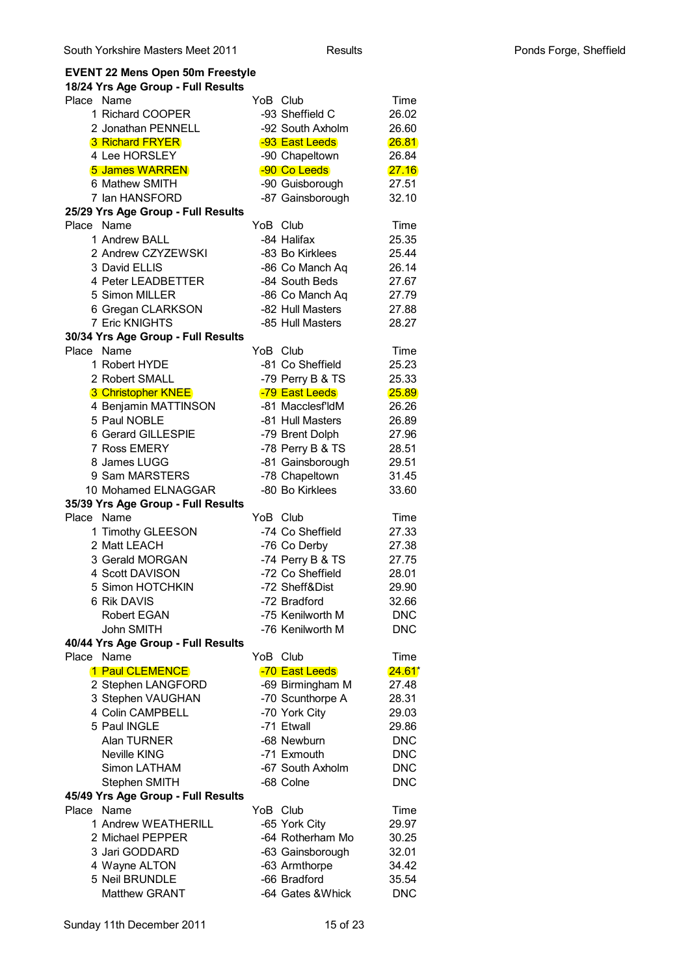### **EVENT 22 Mens Open 50m Freestyle 18/24 Yrs Age Group - Full Results** Place Name **Time YoB Club** Time 1 Richard COOPER -93 Sheffield C 26.02 2. Jonathan PENNELL -92 South Axholm 26.60 3 Richard FRYER **-93 East Leeds** 26.81 4 Lee HORSLEY -90 Chapeltown 26.84 5 James WARREN -90 Co Leeds 27.16 6 Mathew SMITH -90 Guisborough 27.51 7 Ian HANSFORD -87 Gainsborough 32.10 **25/29 Yrs Age Group - Full Results** Place Name **YoB** Club Time 1 Andrew BALL -84 Halifax 25.35 2 Andrew CZYZEWSKI -83 Bo Kirklees 25.44 3 David ELLIS -86 Co Manch Ag 26.14 4 Peter LEADBETTER -84 South Beds 27.67 5 Simon MILLER -86 Co Manch Aq 27.79 6 Gregan CLARKSON -82 Hull Masters 27.88 7 Eric KNIGHTS -85 Hull Masters 28.27 **30/34 Yrs Age Group - Full Results** Place Name **YoB** Club Time 1 Robert HYDE -81 Co Sheffield 25.23 2 Robert SMALL -79 Perry B & TS 25.33 3 Christopher KNEE -79 East Leeds 25.89 4 Benjamin MATTINSON -81 Macclesf'ldM 26.26 5 Paul NOBLE -81 Hull Masters 26.89 6 Gerard GILLESPIE -79 Brent Dolph 27.96 7 Ross EMERY -78 Perry B & TS 28.51 8 James LUGG -81 Gainsborough 29.51 9 Sam MARSTERS -78 Chapeltown 31.45 10 Mohamed ELNAGGAR -80 Bo Kirklees 33.60 **35/39 Yrs Age Group - Full Results** Place Name **YoB** Club Time 1 Timothy GLEESON -74 Co Sheffield 27.33 2 Matt LEACH -76 Co Derby 27.38 3 Gerald MORGAN -74 Perry B & TS 27.75 4 Scott DAVISON -72 Co Sheffield 28.01 5 Simon HOTCHKIN -72 Sheff&Dist 29.90 6 Rik DAVIS -72 Bradford 32.66 Robert EGAN -75 Kenilworth M DNC John SMITH -76 Kenilworth M DNC **40/44 Yrs Age Group - Full Results** Place Name **YoB** Club Time 1 Paul CLEMENCE - 20 East Leeds 2 Stephen LANGFORD -69 Birmingham M 27.48 3 Stephen VAUGHAN -70 Scunthorpe A 28.31 4 Colin CAMPBELL -70 York City 29.03 5 Paul INGLE -71 Etwall 29.86 Alan TURNER -68 Newburn DNC Neville KING **-71 Exmouth** DNC Simon LATHAM -67 South Axholm DNC Stephen SMITH -68 Colne DNC **45/49 Yrs Age Group - Full Results** Place Name **YoB** Club Time 1 Andrew WEATHERILL -65 York City 29.97 2 Michael PEPPER -64 Rotherham Mo 30.25 3 Jari GODDARD -63 Gainsborough 32.01 4 Wayne ALTON -63 Armthorpe 34.42 5 Neil BRUNDLE -66 Bradford 35.54 Matthew GRANT -64 Gates &Whick DNC  $24.61*$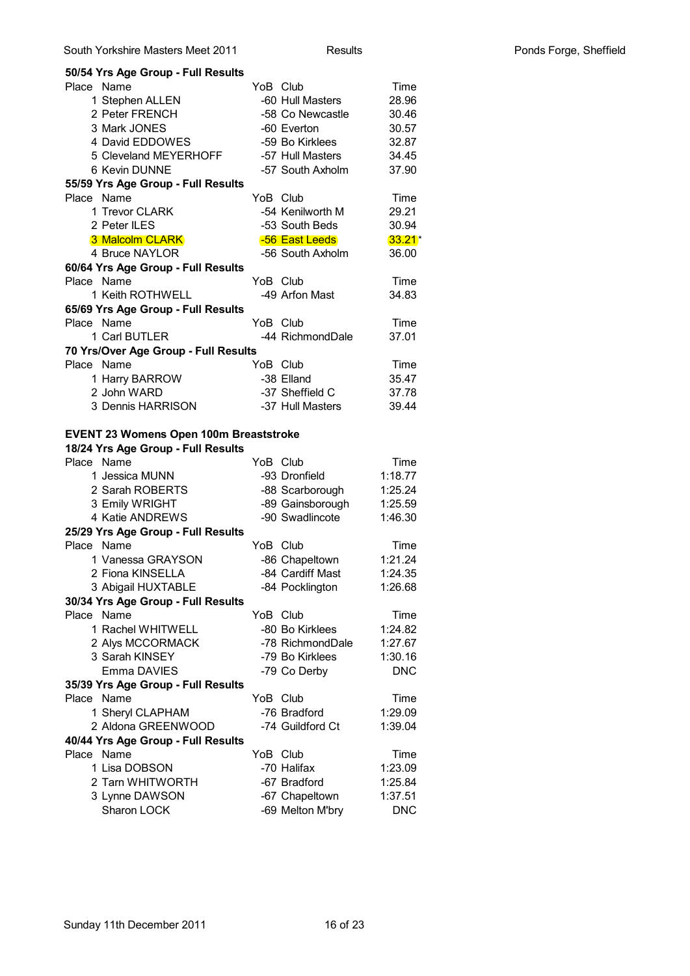| 50/54 Yrs Age Group - Full Results            |          |                  |            |
|-----------------------------------------------|----------|------------------|------------|
| Place Name                                    | YoB Club |                  | Time       |
| 1 Stephen ALLEN                               |          | -60 Hull Masters | 28.96      |
| 2 Peter FRENCH                                |          | -58 Co Newcastle | 30.46      |
| 3 Mark JONES                                  |          | -60 Everton      | 30.57      |
| 4 David EDDOWES                               |          | -59 Bo Kirklees  | 32.87      |
| 5 Cleveland MEYERHOFF                         |          | -57 Hull Masters | 34.45      |
| 6 Kevin DUNNE                                 |          | -57 South Axholm | 37.90      |
| 55/59 Yrs Age Group - Full Results            |          |                  |            |
| Place Name                                    | YoB Club |                  | Time       |
| 1 Trevor CLARK                                |          | -54 Kenilworth M | 29.21      |
| 2 Peter ILES                                  |          | -53 South Beds   | 30.94      |
| 3 Malcolm CLARK                               |          | -56 East Leeds   | $33.21*$   |
| 4 Bruce NAYLOR                                |          | -56 South Axholm | 36.00      |
| 60/64 Yrs Age Group - Full Results            |          |                  |            |
| Place Name                                    | YoB Club |                  | Time       |
| 1 Keith ROTHWELL                              |          | -49 Arfon Mast   | 34.83      |
| 65/69 Yrs Age Group - Full Results            |          |                  |            |
| Place Name                                    | YoB Club |                  | Time       |
| 1 Carl BUTLER                                 |          | -44 RichmondDale | 37.01      |
| 70 Yrs/Over Age Group - Full Results          |          |                  |            |
| Place Name                                    | YoB Club |                  | Time       |
| 1 Harry BARROW                                |          | -38 Elland       | 35.47      |
| 2 John WARD                                   |          | -37 Sheffield C  | 37.78      |
| 3 Dennis HARRISON                             |          | -37 Hull Masters | 39.44      |
|                                               |          |                  |            |
| <b>EVENT 23 Womens Open 100m Breaststroke</b> |          |                  |            |
| 18/24 Yrs Age Group - Full Results            |          |                  |            |
| Place Name                                    | YoB Club |                  | Time       |
| 1 Jessica MUNN                                |          | -93 Dronfield    | 1:18.77    |
| 2 Sarah ROBERTS                               |          | -88 Scarborough  | 1:25.24    |
| 3 Emily WRIGHT                                |          | -89 Gainsborough | 1:25.59    |
| 4 Katie ANDREWS                               |          | -90 Swadlincote  | 1:46.30    |
| 25/29 Yrs Age Group - Full Results            |          |                  |            |
| Place Name                                    | YoB Club |                  | Time       |
| 1 Vanessa GRAYSON                             |          | -86 Chapeltown   | 1:21.24    |
| 2 Fiona KINSELLA                              |          | -84 Cardiff Mast | 1:24.35    |
| 3 Abigail HUXTABLE                            |          | -84 Pocklington  | 1:26.68    |
| 30/34 Yrs Age Group - Full Results            |          |                  |            |
| Place Name                                    | YoB Club |                  | Time       |
| 1 Rachel WHITWELL                             |          | -80 Bo Kirklees  | 1:24.82    |
| 2 Alys MCCORMACK                              |          | -78 RichmondDale | 1:27.67    |
| 3 Sarah KINSEY                                |          | -79 Bo Kirklees  | 1:30.16    |
| Emma DAVIES                                   |          | -79 Co Derby     | <b>DNC</b> |
| 35/39 Yrs Age Group - Full Results            |          |                  |            |
| Place Name                                    | YoB Club |                  | Time       |
| 1 Sheryl CLAPHAM                              |          | -76 Bradford     | 1:29.09    |
| 2 Aldona GREENWOOD                            |          | -74 Guildford Ct | 1:39.04    |
| 40/44 Yrs Age Group - Full Results            |          |                  |            |
| Place Name                                    | YoB Club |                  | Time       |
| 1 Lisa DOBSON                                 |          | -70 Halifax      | 1:23.09    |
| 2 Tarn WHITWORTH                              |          | -67 Bradford     | 1:25.84    |
| 3 Lynne DAWSON                                |          | -67 Chapeltown   | 1:37.51    |
| Sharon LOCK                                   |          | -69 Melton M'bry | <b>DNC</b> |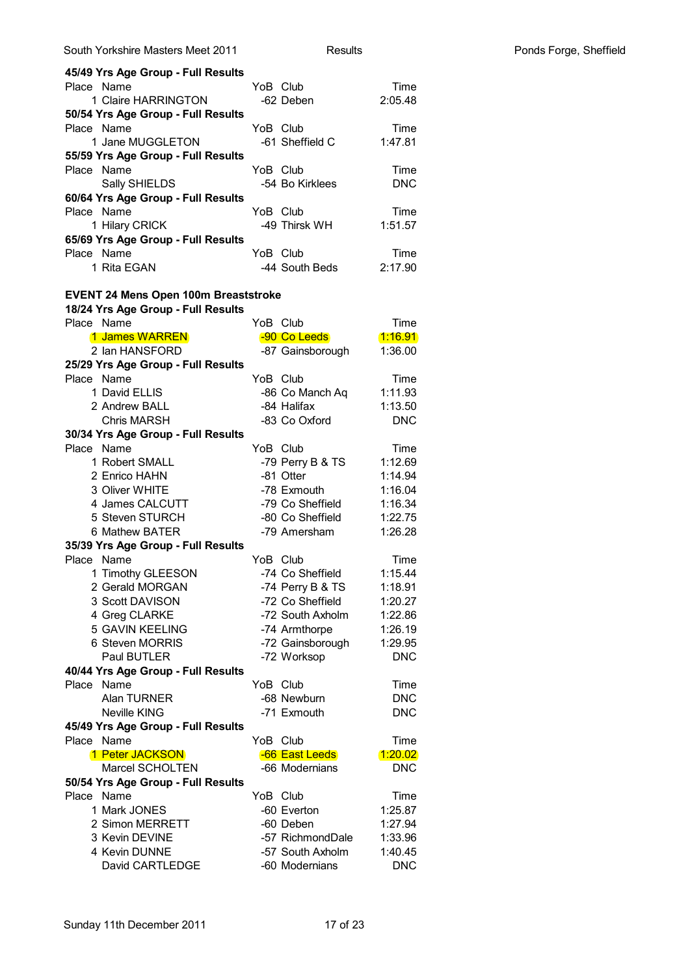| South Yorkshire Masters Meet 2011                | <b>Results</b>                   |                    |  |
|--------------------------------------------------|----------------------------------|--------------------|--|
| 45/49 Yrs Age Group - Full Results               |                                  |                    |  |
| Place Name                                       | YoB Club                         | Time               |  |
| 1 Claire HARRINGTON                              | -62 Deben                        | 2:05.48            |  |
| 50/54 Yrs Age Group - Full Results               |                                  |                    |  |
| Place Name                                       | YoB Club                         | Time               |  |
| 1 Jane MUGGLETON                                 | -61 Sheffield C                  | 1:47.81            |  |
| 55/59 Yrs Age Group - Full Results               |                                  |                    |  |
| Place Name                                       | YoB Club                         | Time               |  |
| Sally SHIELDS                                    | -54 Bo Kirklees                  | <b>DNC</b>         |  |
| 60/64 Yrs Age Group - Full Results               |                                  |                    |  |
| Place Name                                       | YoB Club                         | Time               |  |
| 1 Hilary CRICK                                   | -49 Thirsk WH                    | 1:51.57            |  |
| 65/69 Yrs Age Group - Full Results               |                                  |                    |  |
| Place Name                                       | YoB Club                         | Time               |  |
| 1 Rita EGAN                                      | -44 South Beds                   | 2:17.90            |  |
|                                                  |                                  |                    |  |
| <b>EVENT 24 Mens Open 100m Breaststroke</b>      |                                  |                    |  |
| 18/24 Yrs Age Group - Full Results               |                                  |                    |  |
| Place Name                                       | YoB Club                         | Time               |  |
| 1 James WARREN                                   | -90 Co Leeds                     | <u> 1:16.91</u>    |  |
| 2 Ian HANSFORD                                   | -87 Gainsborough                 | 1:36.00            |  |
| 25/29 Yrs Age Group - Full Results               |                                  |                    |  |
| Place Name                                       | YoB Club                         | Time               |  |
| 1 David ELLIS                                    | -86 Co Manch Aq                  | 1:11.93            |  |
| 2 Andrew BALL                                    | -84 Halifax                      | 1:13.50            |  |
| <b>Chris MARSH</b>                               | -83 Co Oxford                    | <b>DNC</b>         |  |
| 30/34 Yrs Age Group - Full Results               |                                  |                    |  |
| Place Name                                       | YoB Club                         | Time               |  |
| 1 Robert SMALL                                   | -79 Perry B & TS                 | 1:12.69            |  |
| 2 Enrico HAHN                                    | -81 Otter                        | 1:14.94            |  |
| 3 Oliver WHITE                                   | -78 Exmouth                      | 1:16.04            |  |
| 4 James CALCUTT                                  | -79 Co Sheffield                 | 1:16.34            |  |
| 5 Steven STURCH                                  | -80 Co Sheffield<br>-79 Amersham | 1:22.75<br>1:26.28 |  |
| 6 Mathew BATER                                   |                                  |                    |  |
| 35/39 Yrs Age Group - Full Results<br>Place Name | YoB Club                         | Time               |  |
| 1 Timothy GLEESON                                | -74 Co Sheffield                 | 1:15.44            |  |
| 2 Gerald MORGAN                                  | -74 Perry B & TS                 | 1:18.91            |  |
| 3 Scott DAVISON                                  | -72 Co Sheffield                 | 1:20.27            |  |
| 4 Greg CLARKE                                    | -72 South Axholm                 | 1:22.86            |  |
| <b>5 GAVIN KEELING</b>                           | -74 Armthorpe                    | 1:26.19            |  |
| 6 Steven MORRIS                                  | -72 Gainsborough                 | 1:29.95            |  |
| Paul BUTLER                                      | -72 Worksop                      | <b>DNC</b>         |  |
| 40/44 Yrs Age Group - Full Results               |                                  |                    |  |
| Place Name                                       | YoB Club                         | Time               |  |
| Alan TURNER                                      | -68 Newburn                      | <b>DNC</b>         |  |
| <b>Neville KING</b>                              | -71 Exmouth                      | <b>DNC</b>         |  |
| 45/49 Yrs Age Group - Full Results               |                                  |                    |  |
| Place Name                                       | YoB Club                         | Time               |  |
| 1 Peter JACKSON                                  | -66 East Leeds                   | 1:20.02            |  |
| Marcel SCHOLTEN                                  | -66 Modernians                   | <b>DNC</b>         |  |
| 50/54 Yrs Age Group - Full Results               |                                  |                    |  |
| Name<br>Place                                    | YoB Club                         | Time               |  |
| 1 Mark JONES                                     | -60 Everton                      | 1:25.87            |  |
| 2 Simon MERRETT                                  | -60 Deben                        | 1:27.94            |  |
| 3 Kevin DEVINE                                   | -57 RichmondDale                 | 1:33.96            |  |
| 4 Kevin DUNNE                                    | -57 South Axholm                 | 1:40.45            |  |
| David CARTLEDGE                                  | -60 Modernians                   | <b>DNC</b>         |  |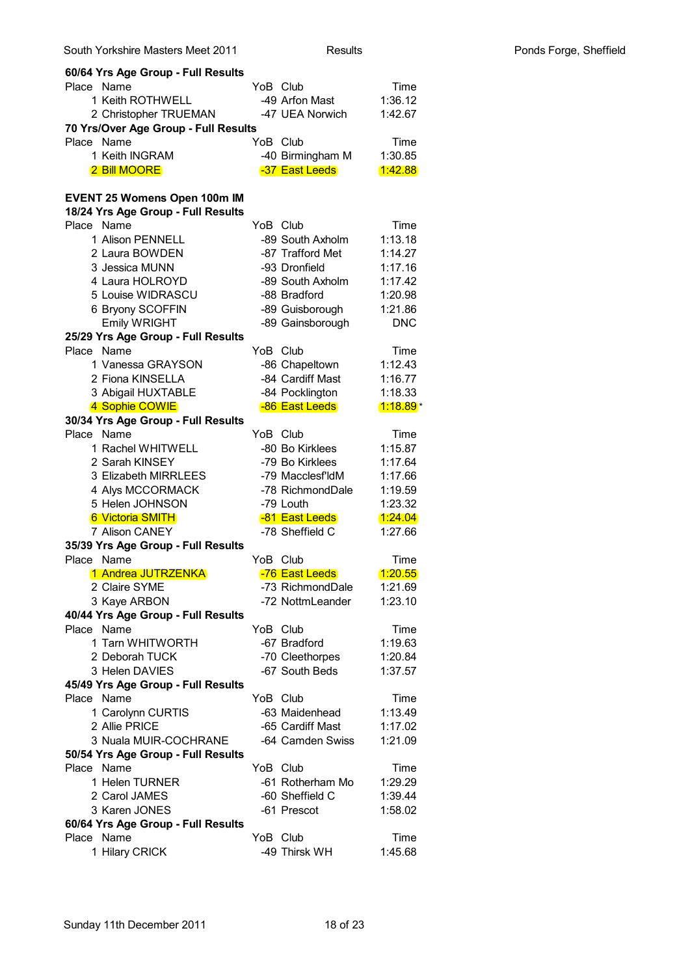| 1 Keith ROTHWELL                     | -49 Arfon Mast   | 1:36.12    |
|--------------------------------------|------------------|------------|
| 2 Christopher TRUEMAN                | -47 UEA Norwich  | 1:42.67    |
| 70 Yrs/Over Age Group - Full Results |                  |            |
| Place Name                           | YoB Club         | Time       |
| 1 Keith INGRAM                       | -40 Birmingham M | 1:30.85    |
| <b>2 Bill MOORE</b>                  | -37 East Leeds   | 1:42.88    |
|                                      |                  |            |
| <b>EVENT 25 Womens Open 100m IM</b>  |                  |            |
| 18/24 Yrs Age Group - Full Results   |                  |            |
| Place Name                           | YoB Club         | Time       |
| 1 Alison PENNELL                     | -89 South Axholm | 1:13.18    |
| 2 Laura BOWDEN                       | -87 Trafford Met | 1:14.27    |
| 3 Jessica MUNN                       | -93 Dronfield    | 1:17.16    |
| 4 Laura HOLROYD                      | -89 South Axholm | 1:17.42    |
| 5 Louise WIDRASCU                    | -88 Bradford     | 1:20.98    |
| 6 Bryony SCOFFIN                     | -89 Guisborough  | 1:21.86    |
| <b>Emily WRIGHT</b>                  | -89 Gainsborough | <b>DNC</b> |
| 25/29 Yrs Age Group - Full Results   |                  |            |
| Name<br>Place                        | YoB Club         | Time       |
| 1 Vanessa GRAYSON                    | -86 Chapeltown   | 1:12.43    |
| 2 Fiona KINSELLA                     | -84 Cardiff Mast | 1:16.77    |
| 3 Abigail HUXTABLE                   | -84 Pocklington  | 1:18.33    |
| 4 Sophie COWIE                       | -86 East Leeds   | $1:18.89*$ |
| 30/34 Yrs Age Group - Full Results   |                  |            |
| Place Name                           | YoB Club         | Time       |
| 1 Rachel WHITWELL                    | -80 Bo Kirklees  | 1:15.87    |
| 2 Sarah KINSEY                       | -79 Bo Kirklees  | 1:17.64    |
| 3 Elizabeth MIRRLEES                 | -79 Macclesf'ldM | 1:17.66    |
| 4 Alys MCCORMACK                     | -78 RichmondDale | 1:19.59    |
| 5 Helen JOHNSON                      | -79 Louth        | 1:23.32    |
| 6 Victoria SMITH                     | -81 East Leeds   | (1:24.04)  |
| 7 Alison CANEY                       | -78 Sheffield C  | 1:27.66    |
| 35/39 Yrs Age Group - Full Results   |                  |            |
| Place Name                           | YoB Club         | Time       |
| 1 Andrea JUTRZENKA                   | -76 East Leeds   | 1:20.55    |
| 2 Claire SYME                        | -73 RichmondDale | 1:21.69    |
| 3 Kaye ARBON                         | -72 NottmLeander | 1:23.10    |
| 40/44 Yrs Age Group - Full Results   |                  |            |
| Place Name                           | YoB Club         | Time       |
| 1 Tarn WHITWORTH                     | -67 Bradford     | 1:19.63    |
| 2 Deborah TUCK                       | -70 Cleethorpes  | 1:20.84    |
| 3 Helen DAVIES                       | -67 South Beds   | 1:37.57    |
| 45/49 Yrs Age Group - Full Results   |                  |            |
| Place Name                           | YoB Club         | Time       |
| 1 Carolynn CURTIS                    | -63 Maidenhead   | 1:13.49    |
| 2 Allie PRICE                        | -65 Cardiff Mast | 1:17.02    |
| 3 Nuala MUIR-COCHRANE                |                  |            |
|                                      | -64 Camden Swiss | 1:21.09    |
| 50/54 Yrs Age Group - Full Results   |                  |            |
| Place Name                           | YoB Club         | Time       |
| 1 Helen TURNER                       | -61 Rotherham Mo | 1:29.29    |
| 2 Carol JAMES                        | -60 Sheffield C  | 1:39.44    |
| 3 Karen JONES                        | -61 Prescot      | 1:58.02    |
| 60/64 Yrs Age Group - Full Results   |                  |            |
| Place Name                           | YoB Club         | Time       |
| 1 Hilary CRICK                       | -49 Thirsk WH    | 1:45.68    |

Place Name **Time** YoB Club Time

**60/64 Yrs Age Group - Full Results**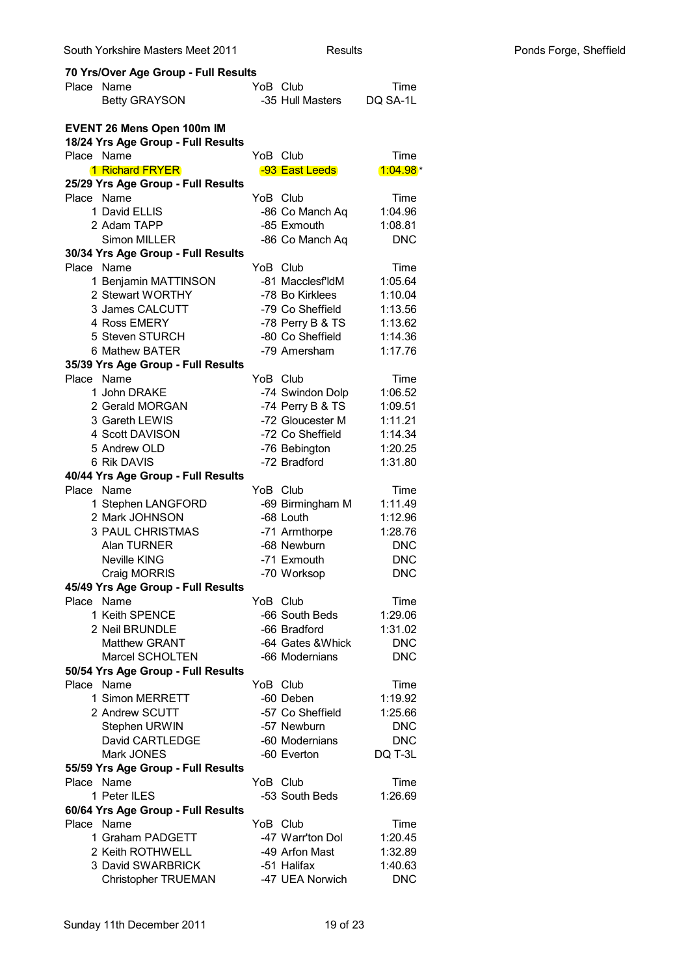| South Yorkshire Masters Meet 2011                | <b>Results</b>                       |                    | Ponds Forge, Sheffield |
|--------------------------------------------------|--------------------------------------|--------------------|------------------------|
| 70 Yrs/Over Age Group - Full Results             |                                      |                    |                        |
| Place Name                                       | YoB Club                             | Time               |                        |
| <b>Betty GRAYSON</b>                             | -35 Hull Masters                     | DQ SA-1L           |                        |
| <b>EVENT 26 Mens Open 100m IM</b>                |                                      |                    |                        |
| 18/24 Yrs Age Group - Full Results               |                                      |                    |                        |
| Place Name                                       | YoB Club                             | Time               |                        |
| <b>1 Richard FRYER</b>                           | -93 East Leeds                       | $1:04.98*$         |                        |
| 25/29 Yrs Age Group - Full Results               |                                      |                    |                        |
| Place Name                                       | YoB Club                             | Time               |                        |
| 1 David ELLIS                                    | -86 Co Manch Aq                      | 1:04.96            |                        |
| 2 Adam TAPP                                      | -85 Exmouth                          | 1:08.81            |                        |
| Simon MILLER                                     | -86 Co Manch Aq                      | <b>DNC</b>         |                        |
| 30/34 Yrs Age Group - Full Results               |                                      |                    |                        |
| Place Name                                       | YoB Club                             | Time               |                        |
| 1 Benjamin MATTINSON                             | -81 Macclesf'ldM                     | 1:05.64            |                        |
| 2 Stewart WORTHY                                 | -78 Bo Kirklees                      | 1:10.04            |                        |
| 3 James CALCUTT                                  | -79 Co Sheffield                     | 1:13.56            |                        |
| 4 Ross EMERY<br>5 Steven STURCH                  | -78 Perry B & TS<br>-80 Co Sheffield | 1:13.62<br>1:14.36 |                        |
| 6 Mathew BATER                                   | -79 Amersham                         | 1:17.76            |                        |
| 35/39 Yrs Age Group - Full Results               |                                      |                    |                        |
| Place Name                                       | YoB Club                             | Time               |                        |
| 1 John DRAKE                                     | -74 Swindon Dolp                     | 1:06.52            |                        |
| 2 Gerald MORGAN                                  | -74 Perry B & TS                     | 1:09.51            |                        |
| 3 Gareth LEWIS                                   | -72 Gloucester M                     | 1:11.21            |                        |
| 4 Scott DAVISON                                  | -72 Co Sheffield                     | 1:14.34            |                        |
| 5 Andrew OLD                                     | -76 Bebington                        | 1:20.25            |                        |
| 6 Rik DAVIS                                      | -72 Bradford                         | 1:31.80            |                        |
| 40/44 Yrs Age Group - Full Results               |                                      |                    |                        |
| Place Name                                       | YoB Club                             | Time               |                        |
| 1 Stephen LANGFORD                               | -69 Birmingham M                     | 1:11.49            |                        |
| 2 Mark JOHNSON                                   | -68 Louth                            | 1:12.96            |                        |
| <b>3 PAUL CHRISTMAS</b>                          | -71 Armthorpe                        | 1:28.76            |                        |
| Alan TURNER                                      | -68 Newburn                          | <b>DNC</b>         |                        |
| <b>Neville KING</b>                              | -71 Exmouth                          | <b>DNC</b>         |                        |
| Craig MORRIS                                     | -70 Worksop                          | <b>DNC</b>         |                        |
| 45/49 Yrs Age Group - Full Results               |                                      |                    |                        |
| Place Name                                       | YoB Club                             | Time               |                        |
| 1 Keith SPENCE                                   | -66 South Beds                       | 1:29.06            |                        |
| 2 Neil BRUNDLE                                   | -66 Bradford                         | 1:31.02            |                        |
| <b>Matthew GRANT</b>                             | -64 Gates & Whick                    | <b>DNC</b>         |                        |
| Marcel SCHOLTEN                                  | -66 Modernians                       | <b>DNC</b>         |                        |
| 50/54 Yrs Age Group - Full Results               |                                      |                    |                        |
| Place Name                                       | YoB Club                             | Time               |                        |
| 1 Simon MERRETT                                  | -60 Deben                            | 1:19.92            |                        |
| 2 Andrew SCUTT                                   | -57 Co Sheffield                     | 1:25.66            |                        |
| Stephen URWIN                                    | -57 Newburn                          | <b>DNC</b>         |                        |
| David CARTLEDGE                                  | -60 Modernians                       | <b>DNC</b>         |                        |
| Mark JONES                                       | -60 Everton                          | DQ T-3L            |                        |
| 55/59 Yrs Age Group - Full Results<br>Place Name | YoB Club                             |                    |                        |
| 1 Peter ILES                                     | -53 South Beds                       | Time<br>1:26.69    |                        |
|                                                  |                                      |                    |                        |
| 60/64 Yrs Age Group - Full Results<br>Place Name | YoB Club                             | Time               |                        |
| 1 Graham PADGETT                                 | -47 Warr'ton Dol                     | 1:20.45            |                        |
| 2 Keith ROTHWELL                                 | -49 Arfon Mast                       | 1:32.89            |                        |
| 3 David SWARBRICK                                | -51 Halifax                          | 1:40.63            |                        |
| <b>Christopher TRUEMAN</b>                       | -47 UEA Norwich                      | <b>DNC</b>         |                        |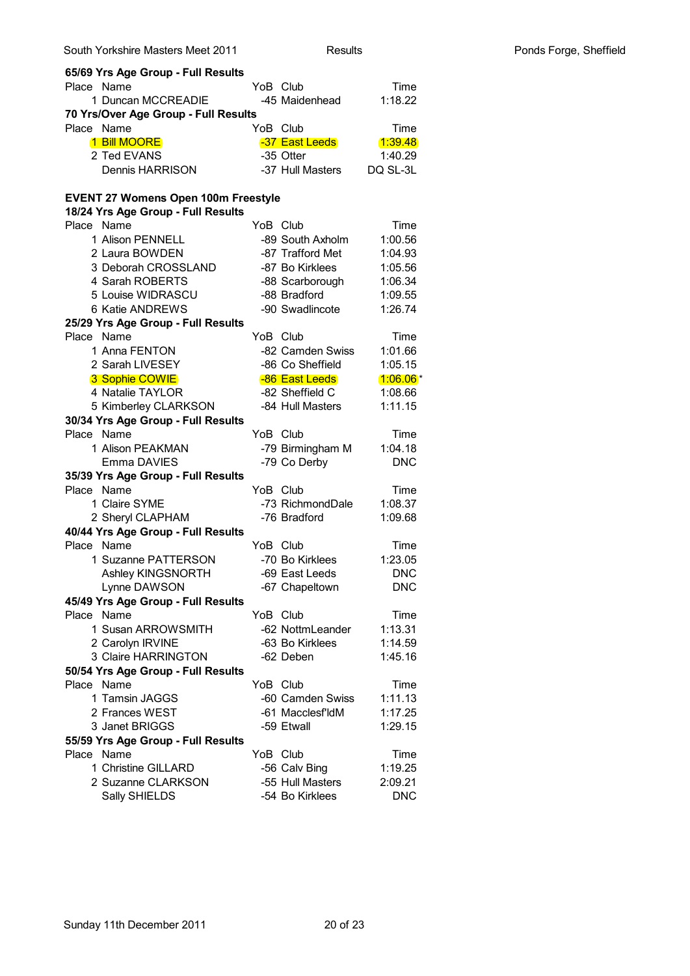| South Yorkshire Masters Meet 2011          | <b>Results</b>   |                | Ponds Forge, Sheffield |
|--------------------------------------------|------------------|----------------|------------------------|
| 65/69 Yrs Age Group - Full Results         |                  |                |                        |
| Place Name                                 | YoB Club         | Time           |                        |
| 1 Duncan MCCREADIE                         | -45 Maidenhead   | 1:18.22        |                        |
| 70 Yrs/Over Age Group - Full Results       |                  |                |                        |
| Place Name                                 | YoB Club         | Time           |                        |
| 1 Bill MOORE                               | -37 East Leeds   | <u>1:39.48</u> |                        |
| 2 Ted EVANS                                | -35 Otter        | 1:40.29        |                        |
| Dennis HARRISON                            | -37 Hull Masters | DQ SL-3L       |                        |
|                                            |                  |                |                        |
| <b>EVENT 27 Womens Open 100m Freestyle</b> |                  |                |                        |
| 18/24 Yrs Age Group - Full Results         |                  |                |                        |
| Place Name                                 | YoB Club         | Time           |                        |
| 1 Alison PENNELL                           | -89 South Axholm | 1:00.56        |                        |
| 2 Laura BOWDEN                             | -87 Trafford Met | 1:04.93        |                        |
| 3 Deborah CROSSLAND                        | -87 Bo Kirklees  | 1:05.56        |                        |
| 4 Sarah ROBERTS                            | -88 Scarborough  | 1:06.34        |                        |
| 5 Louise WIDRASCU                          | -88 Bradford     | 1:09.55        |                        |
| 6 Katie ANDREWS                            | -90 Swadlincote  | 1:26.74        |                        |
| 25/29 Yrs Age Group - Full Results         |                  |                |                        |
| Place Name                                 | YoB Club         | Time           |                        |
| 1 Anna FENTON                              | -82 Camden Swiss | 1:01.66        |                        |
| 2 Sarah LIVESEY                            | -86 Co Sheffield | 1:05.15        |                        |
| 3 Sophie COWIE                             | -86 East Leeds   | $1:06.06*$     |                        |
| 4 Natalie TAYLOR                           | -82 Sheffield C  | 1:08.66        |                        |
| 5 Kimberley CLARKSON                       | -84 Hull Masters | 1:11.15        |                        |
| 30/34 Yrs Age Group - Full Results         |                  |                |                        |
| Place Name                                 | YoB Club         | Time           |                        |
| 1 Alison PEAKMAN                           | -79 Birmingham M | 1:04.18        |                        |
| Emma DAVIES                                | -79 Co Derby     | <b>DNC</b>     |                        |
| 35/39 Yrs Age Group - Full Results         |                  |                |                        |
| Place Name                                 | YoB Club         | Time           |                        |
| 1 Claire SYME                              | -73 RichmondDale | 1:08.37        |                        |
| 2 Sheryl CLAPHAM                           | -76 Bradford     | 1:09.68        |                        |
| 40/44 Yrs Age Group - Full Results         |                  |                |                        |
| Place Name                                 | YoB Club         | Time           |                        |
| 1 Suzanne PATTERSON                        | -70 Bo Kirklees  | 1:23.05        |                        |
| Ashley KINGSNORTH                          | -69 East Leeds   | <b>DNC</b>     |                        |
| Lynne DAWSON                               | -67 Chapeltown   | <b>DNC</b>     |                        |
| 45/49 Yrs Age Group - Full Results         |                  |                |                        |
| Place Name                                 | YoB Club         | Time           |                        |
| 1 Susan ARROWSMITH                         | -62 NottmLeander | 1:13.31        |                        |
| 2 Carolyn IRVINE                           | -63 Bo Kirklees  | 1:14.59        |                        |
| 3 Claire HARRINGTON                        | -62 Deben        | 1:45.16        |                        |
| 50/54 Yrs Age Group - Full Results         |                  |                |                        |
| Place Name                                 | YoB Club         | Time           |                        |
| 1 Tamsin JAGGS                             | -60 Camden Swiss | 1:11.13        |                        |
| 2 Frances WEST                             | -61 Macclesf'ldM | 1:17.25        |                        |
| 3 Janet BRIGGS                             | -59 Etwall       | 1:29.15        |                        |
| 55/59 Yrs Age Group - Full Results         |                  |                |                        |
| Place Name                                 | YoB Club         | Time           |                        |
| 1 Christine GILLARD                        | -56 Calv Bing    | 1:19.25        |                        |
| 2 Suzanne CLARKSON                         | -55 Hull Masters | 2:09.21        |                        |
| Sally SHIELDS                              | -54 Bo Kirklees  | <b>DNC</b>     |                        |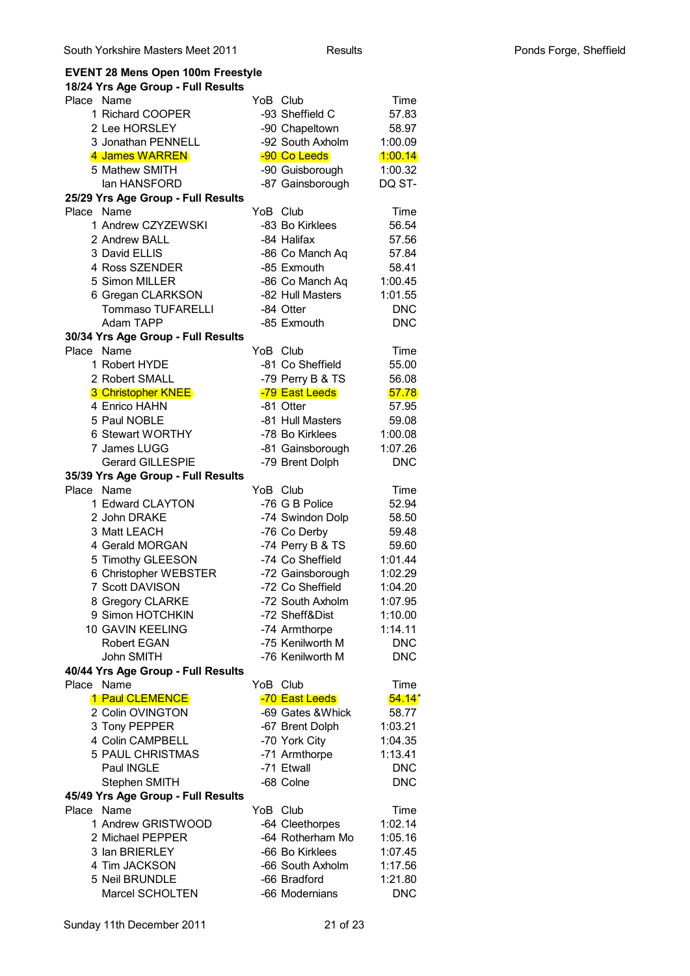## **EVENT 28 Mens Open 100m Freestyle**

| 18/24 Yrs Age Group - Full Results                  |                                |                          |
|-----------------------------------------------------|--------------------------------|--------------------------|
| Place Name                                          | YoB Club                       | Time                     |
| 1 Richard COOPER                                    | -93 Sheffield C                | 57.83                    |
| 2 Lee HORSLEY                                       | -90 Chapeltown                 | 58.97                    |
| 3 Jonathan PENNELL                                  | -92 South Axholm               | 1:00.09                  |
| 4 James WARREN                                      | -90 Co Leeds                   | 1:00.14                  |
| 5 Mathew SMITH                                      | -90 Guisborough                | 1:00.32                  |
| lan HANSFORD                                        | -87 Gainsborough               | DQ ST-                   |
| 25/29 Yrs Age Group - Full Results                  |                                |                          |
| Name<br>Place<br>1 Andrew CZYZEWSKI                 | YoB Club<br>-83 Bo Kirklees    | Time                     |
|                                                     |                                | 56.54                    |
| 2 Andrew BALL                                       | -84 Halifax                    | 57.56                    |
| 3 David ELLIS<br>4 Ross SZENDER                     | -86 Co Manch Aq<br>-85 Exmouth | 57.84<br>58.41           |
| 5 Simon MILLER                                      | -86 Co Manch Aq                | 1:00.45                  |
| 6 Gregan CLARKSON                                   | -82 Hull Masters               | 1:01.55                  |
| <b>Tommaso TUFARELLI</b>                            | -84 Otter                      | <b>DNC</b>               |
| Adam TAPP                                           | -85 Exmouth                    | <b>DNC</b>               |
| 30/34 Yrs Age Group - Full Results                  |                                |                          |
| <b>Place</b><br>Name                                | YoB Club                       | Time                     |
| 1 Robert HYDE                                       | -81 Co Sheffield               | 55.00                    |
| 2 Robert SMALL                                      | -79 Perry B & TS               | 56.08                    |
| 3 Christopher KNEE                                  | -79 East Leeds                 | 57.78                    |
| 4 Enrico HAHN                                       | -81 Otter                      | 57.95                    |
| 5 Paul NOBLE                                        | -81 Hull Masters               | 59.08                    |
| 6 Stewart WORTHY                                    | -78 Bo Kirklees                | 1:00.08                  |
| 7 James LUGG                                        | -81 Gainsborough               | 1:07.26                  |
| <b>Gerard GILLESPIE</b>                             | -79 Brent Dolph                | <b>DNC</b>               |
| 35/39 Yrs Age Group - Full Results                  |                                |                          |
| Place<br>Name                                       | YoB Club                       | Time                     |
| 1 Edward CLAYTON                                    | -76 G B Police                 | 52.94                    |
| 2 John DRAKE                                        | -74 Swindon Dolp               | 58.50                    |
| 3 Matt LEACH                                        | -76 Co Derby                   | 59.48                    |
| 4 Gerald MORGAN                                     | -74 Perry B & TS               | 59.60                    |
| 5 Timothy GLEESON                                   | -74 Co Sheffield               | 1:01.44                  |
| 6 Christopher WEBSTER                               | -72 Gainsborough               | 1:02.29                  |
| 7 Scott DAVISON                                     | -72 Co Sheffield               | 1:04.20                  |
| 8 Gregory CLARKE                                    | -72 South Axholm               | 1:07.95                  |
| 9 Simon HOTCHKIN                                    | -72 Sheff&Dist                 | 1:10.00                  |
| 10 GAVIN KEELING                                    | -74 Armthorpe                  | 1:14.11                  |
| <b>Robert EGAN</b>                                  | -75 Kenilworth M               | <b>DNC</b>               |
| John SMITH                                          | -76 Kenilworth M               | <b>DNC</b>               |
| 40/44 Yrs Age Group - Full Results                  |                                |                          |
| Name<br>Place                                       | YoB Club                       | Time                     |
| 1 Paul CLEMENCE                                     | -70 East Leeds                 | $54.14*$                 |
| 2 Colin OVINGTON                                    | -69 Gates & Whick              | 58.77                    |
| 3 Tony PEPPER                                       | -67 Brent Dolph                | 1:03.21                  |
| 4 Colin CAMPBELL<br><b>5 PAUL CHRISTMAS</b>         | -70 York City                  | 1:04.35                  |
|                                                     | -71 Armthorpe<br>-71 Etwall    | 1:13.41                  |
| Paul INGLE                                          | -68 Colne                      | <b>DNC</b><br><b>DNC</b> |
| Stephen SMITH<br>45/49 Yrs Age Group - Full Results |                                |                          |
| Name<br>Place                                       | YoB Club                       | Time                     |
| 1 Andrew GRISTWOOD                                  | -64 Cleethorpes                | 1:02.14                  |
| 2 Michael PEPPER                                    | -64 Rotherham Mo               | 1:05.16                  |
| 3 Ian BRIERLEY                                      | -66 Bo Kirklees                | 1:07.45                  |
| 4 Tim JACKSON                                       | -66 South Axholm               | 1:17.56                  |
| 5 Neil BRUNDLE                                      | -66 Bradford                   | 1:21.80                  |
| Marcel SCHOLTEN                                     | -66 Modernians                 | <b>DNC</b>               |
|                                                     |                                |                          |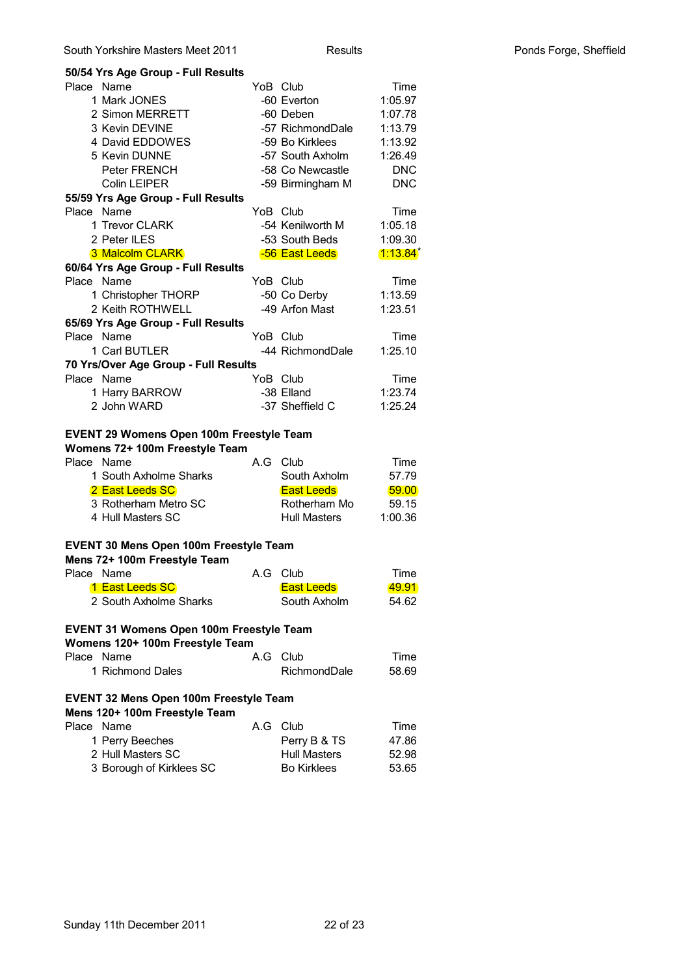| 50/54 Yrs Age Group - Full Results                                                                                                                                                        |     |                                                                                  |                                            |
|-------------------------------------------------------------------------------------------------------------------------------------------------------------------------------------------|-----|----------------------------------------------------------------------------------|--------------------------------------------|
| Place<br>Name                                                                                                                                                                             |     | YoB Club                                                                         | Time                                       |
| 1 Mark JONES                                                                                                                                                                              |     | -60 Everton                                                                      | 1:05.97                                    |
| 2 Simon MERRETT                                                                                                                                                                           |     | -60 Deben                                                                        | 1:07.78                                    |
| 3 Kevin DEVINE                                                                                                                                                                            |     | -57 RichmondDale                                                                 | 1:13.79                                    |
| 4 David EDDOWES                                                                                                                                                                           |     | -59 Bo Kirklees                                                                  | 1:13.92                                    |
| 5 Kevin DUNNE                                                                                                                                                                             |     | -57 South Axholm                                                                 | 1:26.49                                    |
| Peter FRENCH                                                                                                                                                                              |     | -58 Co Newcastle                                                                 | <b>DNC</b>                                 |
| <b>Colin LEIPER</b>                                                                                                                                                                       |     | -59 Birmingham M                                                                 | <b>DNC</b>                                 |
| 55/59 Yrs Age Group - Full Results                                                                                                                                                        |     |                                                                                  |                                            |
| Place<br>Name                                                                                                                                                                             |     | YoB Club                                                                         | Time                                       |
| 1 Trevor CLARK                                                                                                                                                                            |     | -54 Kenilworth M                                                                 | 1:05.18                                    |
| 2 Peter ILES                                                                                                                                                                              |     | -53 South Beds                                                                   | 1:09.30                                    |
| 3 Malcolm CLARK                                                                                                                                                                           |     | -56 East Leeds                                                                   | $1:13.84^*$                                |
| 60/64 Yrs Age Group - Full Results                                                                                                                                                        |     |                                                                                  |                                            |
| Place Name                                                                                                                                                                                |     | YoB Club                                                                         | Time                                       |
| 1 Christopher THORP                                                                                                                                                                       |     | -50 Co Derby                                                                     | 1:13.59                                    |
| 2 Keith ROTHWELL                                                                                                                                                                          |     | -49 Arfon Mast                                                                   | 1:23.51                                    |
| 65/69 Yrs Age Group - Full Results                                                                                                                                                        |     |                                                                                  |                                            |
| Place Name                                                                                                                                                                                |     | YoB Club                                                                         | Time                                       |
| 1 Carl BUTLER                                                                                                                                                                             |     | -44 RichmondDale                                                                 | 1:25.10                                    |
| 70 Yrs/Over Age Group - Full Results                                                                                                                                                      |     |                                                                                  |                                            |
| Place Name                                                                                                                                                                                |     | YoB Club                                                                         | Time                                       |
| 1 Harry BARROW                                                                                                                                                                            |     | -38 Elland                                                                       | 1:23.74                                    |
| 2 John WARD                                                                                                                                                                               |     | -37 Sheffield C                                                                  | 1:25.24                                    |
| <b>EVENT 29 Womens Open 100m Freestyle Team</b><br>Womens 72+ 100m Freestyle Team<br>Place Name<br>1 South Axholme Sharks<br>2 East Leeds SC<br>3 Rotherham Metro SC<br>4 Hull Masters SC | A.G | Club<br>South Axholm<br><b>East Leeds</b><br>Rotherham Mo<br><b>Hull Masters</b> | Time<br>57.79<br>59.00<br>59.15<br>1:00.36 |
| <b>EVENT 30 Mens Open 100m Freestyle Team</b>                                                                                                                                             |     |                                                                                  |                                            |
| Mens 72+ 100m Freestyle Team                                                                                                                                                              |     |                                                                                  |                                            |
| Place<br>Name                                                                                                                                                                             | A.G | Club                                                                             | Time                                       |
| 1 East Leeds SC                                                                                                                                                                           |     | <b>East Leeds</b>                                                                | 49.91                                      |
|                                                                                                                                                                                           |     |                                                                                  |                                            |
| 2 South Axholme Sharks                                                                                                                                                                    |     | South Axholm                                                                     | 54.62                                      |
| EVENT 31 Womens Open 100m Freestyle Team<br>Womens 120+ 100m Freestyle Team                                                                                                               |     |                                                                                  |                                            |
| Place Name                                                                                                                                                                                | A.G | Club                                                                             | Time                                       |
| 1 Richmond Dales                                                                                                                                                                          |     | RichmondDale                                                                     | 58.69                                      |
| <b>EVENT 32 Mens Open 100m Freestyle Team</b>                                                                                                                                             |     |                                                                                  |                                            |
| Mens 120+ 100m Freestyle Team<br>Place<br>Name                                                                                                                                            | A.G | Club                                                                             | Time                                       |
|                                                                                                                                                                                           |     |                                                                                  | 47.86                                      |
| 1 Perry Beeches<br>2 Hull Masters SC                                                                                                                                                      |     | Perry B & TS<br><b>Hull Masters</b>                                              | 52.98                                      |